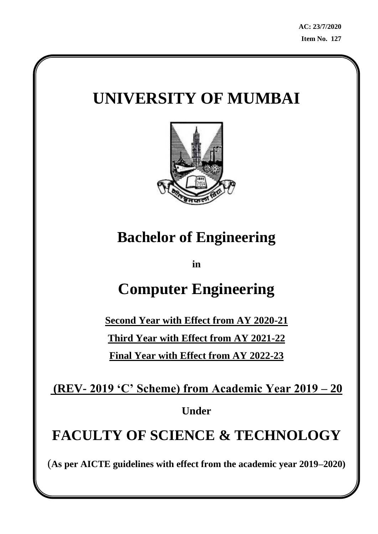# **UNIVERSITY OF MUMBAI**



# **Bachelor of Engineering**

**in**

# **Computer Engineering**

**Second Year with Effect from AY 2020-21 Third Year with Effect from AY 2021-22 Final Year with Effect from AY 2022-23**

**(REV- 2019 'C' Scheme) from Academic Year 2019 – 20**

**Under**

# **FACULTY OF SCIENCE & TECHNOLOGY**

(**As per AICTE guidelines with effect from the academic year 2019–2020)**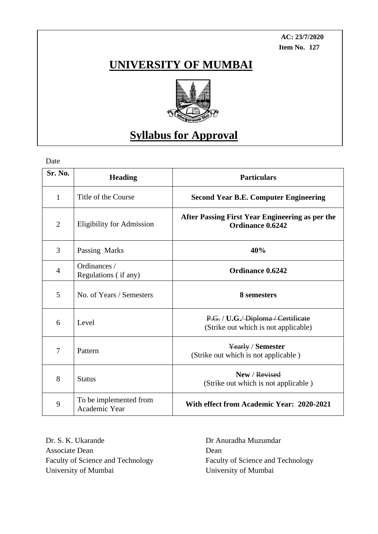**AC: 23/7/2020 Item No. 127**

## **UNIVERSITY OF MUMBAI**



## **Syllabus for Approval**

Date

| <b>Sr. No.</b> | <b>Heading</b>                          | <b>Particulars</b>                                                          |
|----------------|-----------------------------------------|-----------------------------------------------------------------------------|
| $\mathbf{1}$   | Title of the Course                     | <b>Second Year B.E. Computer Engineering</b>                                |
| $\overline{2}$ | <b>Eligibility for Admission</b>        | After Passing First Year Engineering as per the<br>Ordinance 0.6242         |
| 3              | Passing Marks                           | 40%                                                                         |
| $\overline{4}$ | Ordinances /<br>Regulations (if any)    | <b>Ordinance 0.6242</b>                                                     |
| 5              | No. of Years / Semesters                | 8 semesters                                                                 |
| 6              | Level                                   | P.G. / U.G. / Diploma / Certificate<br>(Strike out which is not applicable) |
| 7              | Pattern                                 | Yearly / Semester<br>(Strike out which is not applicable)                   |
| 8              | <b>Status</b>                           | New / Revised<br>(Strike out which is not applicable)                       |
| 9              | To be implemented from<br>Academic Year | With effect from Academic Year: 2020-2021                                   |

Dr. S. K. Ukarande Dr Anuradha Muzumdar Associate Dean Dean Dean University of Mumbai University of Mumbai

Faculty of Science and Technology Faculty of Science and Technology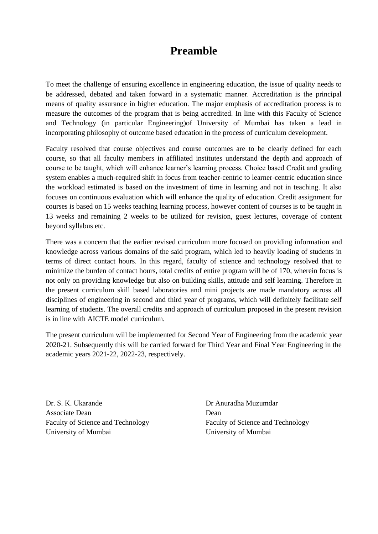## **Preamble**

To meet the challenge of ensuring excellence in engineering education, the issue of quality needs to be addressed, debated and taken forward in a systematic manner. Accreditation is the principal means of quality assurance in higher education. The major emphasis of accreditation process is to measure the outcomes of the program that is being accredited. In line with this Faculty of Science and Technology (in particular Engineering)of University of Mumbai has taken a lead in incorporating philosophy of outcome based education in the process of curriculum development.

Faculty resolved that course objectives and course outcomes are to be clearly defined for each course, so that all faculty members in affiliated institutes understand the depth and approach of course to be taught, which will enhance learner's learning process. Choice based Credit and grading system enables a much-required shift in focus from teacher-centric to learner-centric education since the workload estimated is based on the investment of time in learning and not in teaching. It also focuses on continuous evaluation which will enhance the quality of education. Credit assignment for courses is based on 15 weeks teaching learning process, however content of courses is to be taught in 13 weeks and remaining 2 weeks to be utilized for revision, guest lectures, coverage of content beyond syllabus etc.

There was a concern that the earlier revised curriculum more focused on providing information and knowledge across various domains of the said program, which led to heavily loading of students in terms of direct contact hours. In this regard, faculty of science and technology resolved that to minimize the burden of contact hours, total credits of entire program will be of 170, wherein focus is not only on providing knowledge but also on building skills, attitude and self learning. Therefore in the present curriculum skill based laboratories and mini projects are made mandatory across all disciplines of engineering in second and third year of programs, which will definitely facilitate self learning of students. The overall credits and approach of curriculum proposed in the present revision is in line with AICTE model curriculum.

The present curriculum will be implemented for Second Year of Engineering from the academic year 2020-21. Subsequently this will be carried forward for Third Year and Final Year Engineering in the academic years 2021-22, 2022-23, respectively.

Dr. S. K. Ukarande Dr Anuradha Muzumdar Associate Dean Dean Dean Faculty of Science and Technology Faculty of Science and Technology University of Mumbai University of Mumbai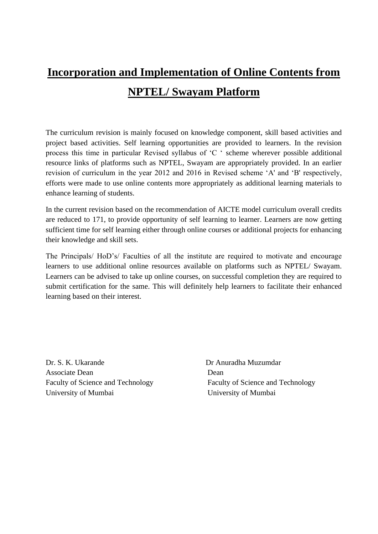# **Incorporation and Implementation of Online Contents from NPTEL/ Swayam Platform**

The curriculum revision is mainly focused on knowledge component, skill based activities and project based activities. Self learning opportunities are provided to learners. In the revision process this time in particular Revised syllabus of 'C ' scheme wherever possible additional resource links of platforms such as NPTEL, Swayam are appropriately provided. In an earlier revision of curriculum in the year 2012 and 2016 in Revised scheme 'A' and 'B' respectively, efforts were made to use online contents more appropriately as additional learning materials to enhance learning of students.

In the current revision based on the recommendation of AICTE model curriculum overall credits are reduced to 171, to provide opportunity of self learning to learner. Learners are now getting sufficient time for self learning either through online courses or additional projects for enhancing their knowledge and skill sets.

The Principals/ HoD's/ Faculties of all the institute are required to motivate and encourage learners to use additional online resources available on platforms such as NPTEL/ Swayam. Learners can be advised to take up online courses, on successful completion they are required to submit certification for the same. This will definitely help learners to facilitate their enhanced learning based on their interest.

Dr. S. K. Ukarande Dr Anuradha Muzumdar Associate Dean Dean Dean University of Mumbai University of Mumbai

Faculty of Science and Technology Faculty of Science and Technology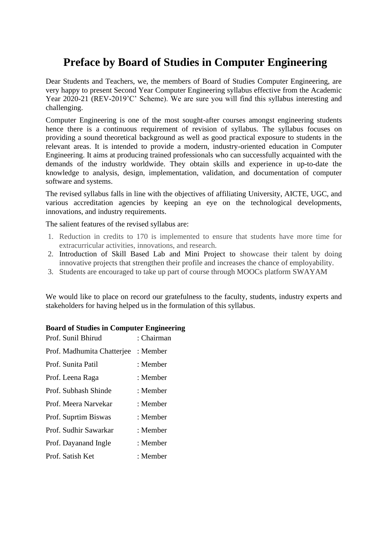## **Preface by Board of Studies in Computer Engineering**

Dear Students and Teachers, we, the members of Board of Studies Computer Engineering, are very happy to present Second Year Computer Engineering syllabus effective from the Academic Year 2020-21 (REV-2019'C' Scheme). We are sure you will find this syllabus interesting and challenging.

Computer Engineering is one of the most sought-after courses amongst engineering students hence there is a continuous requirement of revision of syllabus. The syllabus focuses on providing a sound theoretical background as well as good practical exposure to students in the relevant areas. It is intended to provide a modern, industry-oriented education in Computer Engineering. It aims at producing trained professionals who can successfully acquainted with the demands of the industry worldwide. They obtain skills and experience in up-to-date the knowledge to analysis, design, implementation, validation, and documentation of computer software and systems.

The revised syllabus falls in line with the objectives of affiliating University, AICTE, UGC, and various accreditation agencies by keeping an eye on the technological developments, innovations, and industry requirements.

The salient features of the revised syllabus are:

- 1. Reduction in credits to 170 is implemented to ensure that students have more time for extracurricular activities, innovations, and research.
- 2. Introduction of Skill Based Lab and Mini Project to showcase their talent by doing innovative projects that strengthen their profile and increases the chance of employability.
- 3. Students are encouraged to take up part of course through MOOCs platform SWAYAM

We would like to place on record our gratefulness to the faculty, students, industry experts and stakeholders for having helped us in the formulation of this syllabus.

#### **Board of Studies in Computer Engineering**

| Prof. Sunil Bhirud         | : Chairman |
|----------------------------|------------|
| Prof. Madhumita Chatterjee | : Member   |
| Prof. Sunita Patil         | : Member   |
| Prof. Leena Raga           | : Member   |
| Prof. Subhash Shinde       | : Member   |
| Prof. Meera Narvekar       | : Member   |
| Prof. Suprtim Biswas       | : Member   |
| Prof. Sudhir Sawarkar      | : Member   |
| Prof. Dayanand Ingle       | : Member   |
| Prof. Satish Ket           | : Member   |
|                            |            |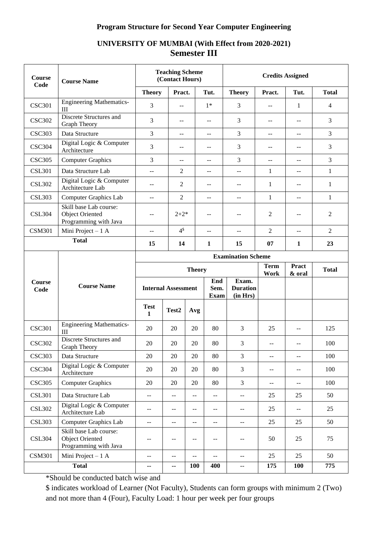#### **Program Structure for Second Year Computer Engineering**

#### **Course Code Course Name Teaching Scheme (Contact Hours) Credits Assigned Theory Pract. Tut. Theory Pract. Tut. Total**  $\text{CSC}301$  Engineering Mathematics- $\text{III}$   $\text{III}$   $\text{III}$   $\text{III}$   $\text{III}$   $\text{III}$   $\text{III}$   $\text{III}$   $\text{III}$   $\text{III}$   $\text{III}$   $\text{III}$   $\text{III}$   $\text{III}$   $\text{III}$   $\text{III}$   $\text{III}$   $\text{III}$   $\text{III}$   $\text{III}$   $\text{III}$   $\text{III}$   $\text{III}$   $\text{III}$   $\text{III}$   $\text{III}$   $\text{III}$   $\text{III$ CSC302 Discrete Structures and<br>Graph Theory Discrete structures and  $\begin{bmatrix} 3 & 3 \\ 3 & 1 \end{bmatrix}$  --  $\begin{bmatrix} -1 & 3 \\ 3 & 1 \end{bmatrix}$  --  $\begin{bmatrix} -1 & 3 \\ -3 & 1 \end{bmatrix}$  --  $\begin{bmatrix} -1 & 3 \\ 3 & 1 \end{bmatrix}$  $\text{CSC303}$  Data Structure  $\begin{vmatrix} 3 & - & - & 3 \\ - & - & - & 3 \end{vmatrix}$  --  $\begin{vmatrix} - & - & - & - \\ - & - & - & - \end{vmatrix}$  -3 CSC304 Digital Logic & Computer Architecture <sup>3</sup> -- -- <sup>3</sup> -- -- <sup>3</sup>  $\text{CSC305}$  | Computer Graphics | 3 | -- | -- | 3 | -- | -- | 3 CSL301 | Data Structure Lab  $\begin{vmatrix} -1 & 2 & -1 & -1 & -1 & 1 & -1 \\ 2 & -1 & -1 & -1 & 1 & -1 \end{vmatrix}$ CSL302 Digital Logic & Computer Digital Logic & Computer<br>Architecture Lab  $\begin{vmatrix} 2 & -1 & -1 \\ 1 & -1 & 1 \end{vmatrix}$  --CSL303 Computer Graphics Lab  $\begin{vmatrix} -1 & 2 & -1 & -1 & -1 & 1 \\ 2 & -1 & -1 & -1 & 1 \end{vmatrix}$ CSL304 Skill base Lab course: Object Oriented Programming with Java -- | 2+2\* | -- | -- | 2 | -- | 2 CSM301 | Mini Project – 1 A  $\qquad$  -- $4<sup>§</sup>$ -- | -- | 2 | -- | 2 **Total <sup>15</sup> <sup>14</sup> <sup>1</sup> <sup>15</sup> <sup>07</sup> <sup>1</sup> <sup>23</sup> Course Code Course Name Examination Scheme Theory Term Work Pract & oral Total Internal Assessment End Sem. Exam Exam. Duration (in Hrs) Test 1 Test2 Avg** CSC301 Engineering Mathematics-Engineering Mathematics 20 20 20 30 3 3 3 3 4 325 CSC302 | Discrete Structures and<br>Graph Theory Graph Theory <sup>20</sup> <sup>20</sup> <sup>20</sup> <sup>80</sup> <sup>3</sup> -- -- <sup>100</sup>  $\text{CSC303}$  Data Structure 20 20 20 80 3 -- 1 -- 100 CSC304 | Digital Logic & Computer  $\Delta$ Architecture 20 20 20 3 3 -- 100 CSC305 Computer Graphics 20 20 20 80 3 -- 1 -- 100 CSL301 | Data Structure Lab  $\begin{vmatrix} -1 & -1 & -1 & -1 \\ 1 & -1 & -1 & -1 \end{vmatrix}$  --  $\begin{vmatrix} -1 & -1 & 25 \\ -1 & 25 & 25 \end{vmatrix}$  50 CSL302 Digital Logic & Computer  $\Delta$  Digital Logic & Computer<br>Architecture Lab  $\begin{vmatrix} -1 & -1 & -1 \\ -1 & -1 & -1 \end{vmatrix}$  --  $\begin{vmatrix} -1 & -1 & -1 \\ -1 & -1 & -1 \end{vmatrix}$  --  $\begin{vmatrix} 25 & -1 & -1 \\ -25 & -1 & -1 \end{vmatrix}$  -- 25 CSL303 Computer Graphics Lab -- -- -- -- -- -- 25 25 50

## **UNIVERSITY OF MUMBAI (With Effect from 2020-2021) Semester III**

\*Should be conducted batch wise and

Skill base Lab course: Object Oriented Programming with Java

CSL304

\$ indicates workload of Learner (Not Faculty), Students can form groups with minimum 2 (Two) and not more than 4 (Four), Faculty Load: 1 hour per week per four groups

**Total -- -- 100 400** -- **175 100 775**

CSM301 | Mini Project – 1 A  $\begin{vmatrix} -1 & -1 & -1 \\ 1 & -1 & -1 \end{vmatrix}$  --  $\begin{vmatrix} -1 & -1 & -1 \\ -1 & -1 & -1 \end{vmatrix}$  --  $\begin{vmatrix} 25 & 25 \\ 25 & 25 \end{vmatrix}$  50

-- | -- | -- | -- | 50 | 25 | 75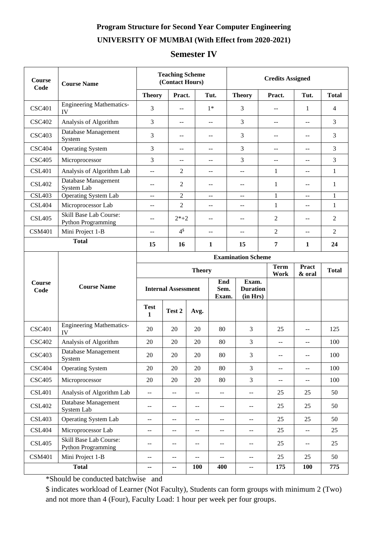## **Program Structure for Second Year Computer Engineering**

## **UNIVERSITY OF MUMBAI (With Effect from 2020-2021)**

## **Semester IV**

| <b>Course</b><br>Code             | <b>Course Name</b>                                  | <b>Teaching Scheme</b><br>(Contact Hours)                                      |                                       |                                                    | <b>Credits Assigned</b>                       |                                               |                                               |                                               |                |  |
|-----------------------------------|-----------------------------------------------------|--------------------------------------------------------------------------------|---------------------------------------|----------------------------------------------------|-----------------------------------------------|-----------------------------------------------|-----------------------------------------------|-----------------------------------------------|----------------|--|
|                                   |                                                     | <b>Theory</b>                                                                  | Pract.                                |                                                    | Tut.                                          | <b>Theory</b>                                 | Pract.                                        | Tut.                                          | <b>Total</b>   |  |
| <b>CSC401</b>                     | <b>Engineering Mathematics-</b><br>IV               | 3                                                                              | $\overline{a}$                        |                                                    | $1*$                                          | 3                                             | $\sim$                                        | 1                                             | $\overline{4}$ |  |
| <b>CSC402</b>                     | Analysis of Algorithm                               | 3                                                                              | $-$                                   |                                                    | $-$                                           | 3                                             | $-$                                           | --                                            | 3              |  |
| <b>CSC403</b>                     | Database Management<br>System                       | 3                                                                              | $- -$                                 |                                                    | $\mathord{\hspace{1pt}\text{--}\hspace{1pt}}$ | 3                                             | $-$                                           | $\mathcal{L} =$                               | 3              |  |
| <b>CSC404</b>                     | <b>Operating System</b>                             | 3                                                                              | $-$                                   |                                                    | $-$                                           | 3                                             |                                               | $-$                                           | 3              |  |
| <b>CSC405</b>                     | Microprocessor                                      | 3                                                                              | $-$                                   |                                                    | $-$                                           | 3                                             | $-$                                           | $- -$                                         | 3              |  |
| <b>CSL401</b>                     | Analysis of Algorithm Lab                           | $\overline{a}$                                                                 | 2                                     |                                                    | $-$                                           | $-$                                           | $\mathbf{1}$                                  | $\mathbf{u}$                                  | $\mathbf{1}$   |  |
| <b>CSL402</b>                     | Database Management<br>System Lab                   | $-$                                                                            | 2                                     |                                                    | $-$                                           | $-$                                           | 1                                             | $\overline{a}$                                | 1              |  |
| <b>CSL403</b>                     | <b>Operating System Lab</b>                         | $-$                                                                            | $\overline{c}$                        |                                                    | $-$                                           | $-$                                           | 1                                             | $\overline{a}$                                | 1              |  |
| <b>CSL404</b>                     | Microprocessor Lab                                  | $-$                                                                            | $\overline{2}$                        |                                                    | $-$                                           | --                                            | $\mathbf{1}$                                  | --                                            | $\mathbf{1}$   |  |
| <b>CSL405</b>                     | Skill Base Lab Course:<br>Python Programming        | --                                                                             | $2*+2$                                |                                                    | --                                            | $-$                                           | 2                                             | $\overline{a}$                                | $\overline{2}$ |  |
| <b>CSM401</b>                     | Mini Project 1-B                                    | $-$                                                                            | 4 <sup>§</sup>                        |                                                    | $\overline{a}$<br>--                          |                                               | 2                                             | $\overline{a}$                                | $\overline{2}$ |  |
|                                   | <b>Total</b><br>15<br>16<br>$\mathbf{1}$            |                                                                                |                                       |                                                    |                                               | 15                                            | $\overline{7}$                                | 1                                             | 24             |  |
|                                   |                                                     | <b>Examination Scheme</b>                                                      |                                       |                                                    |                                               |                                               |                                               |                                               |                |  |
|                                   |                                                     | <b>Term</b><br><b>Pract</b><br><b>Theory</b><br><b>Total</b><br>Work<br>& oral |                                       |                                                    |                                               |                                               |                                               |                                               |                |  |
| Course<br>Code                    | <b>Course Name</b>                                  |                                                                                |                                       | End<br>Sem.<br><b>Internal Assessment</b><br>Exam. |                                               | Exam.<br><b>Duration</b><br>(in Hrs)          |                                               |                                               |                |  |
|                                   |                                                     | <b>Test</b><br>$\mathbf{1}$                                                    | Test 2                                | Avg.                                               |                                               |                                               |                                               |                                               |                |  |
| <b>CSC401</b>                     | <b>Engineering Mathematics-</b><br>IV               | 20                                                                             | 20                                    | 20                                                 | 80                                            | 3                                             | 25                                            | $\mathord{\hspace{1pt}\text{--}\hspace{1pt}}$ | 125            |  |
| <b>CSC402</b>                     | Analysis of Algorithm                               | 20                                                                             | 20                                    | 20                                                 | 80                                            | 3                                             | $\mathord{\hspace{1pt}\text{--}\hspace{1pt}}$ | $\overline{a}$                                | 100            |  |
| <b>CSC403</b>                     | Database Management<br>System                       | 20                                                                             | 20                                    | 20                                                 | 80                                            | 3                                             | ÷÷.                                           | $\mathbb{L}^{\mathbb{L}}$                     | 100            |  |
| <b>CSC404</b>                     | <b>Operating System</b>                             | 20                                                                             | 20                                    | 20                                                 | 80                                            | 3                                             | $\mathbb{L}^{\mathbb{L}}$                     | $\mathbb{L}^{\mathbb{L}}$                     | 100            |  |
| <b>CSC405</b>                     | Microprocessor                                      | 20                                                                             | 20                                    | $20\,$                                             | 80                                            | 3                                             | $\overline{\phantom{a}}$                      | $\mathcal{L}_{\mathcal{F}}$                   | 100            |  |
| <b>CSL401</b>                     | Analysis of Algorithm Lab                           | $- -$                                                                          | $\hspace{0.05cm}$ – $\hspace{0.05cm}$ | $\mathord{\hspace{1pt}\text{--}\hspace{1pt}}$      | $\mathord{\hspace{1pt}\text{--}\hspace{1pt}}$ | $\mathord{\hspace{1pt}\text{--}\hspace{1pt}}$ | 25                                            | 25                                            | 50             |  |
| <b>CSL402</b>                     | Database Management<br>System Lab                   | --                                                                             | --                                    | --                                                 | $\mathord{\hspace{1pt}\text{--}\hspace{1pt}}$ | $\mathord{\hspace{1pt}\text{--}\hspace{1pt}}$ | 25                                            | 25                                            | 50             |  |
| <b>CSL403</b>                     | <b>Operating System Lab</b>                         | --                                                                             | --                                    | --                                                 | $- -$                                         | --                                            | 25                                            | 25                                            | 50             |  |
| <b>CSL404</b>                     | Microprocessor Lab                                  | --                                                                             | $- -$                                 | --                                                 | $\mathcal{L} = \mathcal{L}$                   | $\mathord{\hspace{1pt}\text{--}\hspace{1pt}}$ | 25                                            | $\mathcal{L}_{\mathcal{F}}$                   | 25             |  |
| <b>CSL405</b>                     | <b>Skill Base Lab Course:</b><br>Python Programming | --                                                                             | $-$                                   | --                                                 | $\overline{\phantom{a}}$                      | $\mathcal{L} = \mathcal{L}$                   | 25                                            | $\mathcal{L}_{\mathcal{F}}$                   | 25             |  |
| Mini Project 1-B<br><b>CSM401</b> |                                                     | --                                                                             | $\overline{\phantom{a}}$              | --                                                 | $\mathord{\hspace{1pt}\text{--}\hspace{1pt}}$ | $\mathcal{L} = \mathcal{L}$                   | 25                                            | 25                                            | 50             |  |
| <b>Total</b>                      |                                                     | ۰.                                                                             | ۰.                                    | <b>100</b>                                         | 400                                           | $\mathord{\hspace{1pt}\text{--}\hspace{1pt}}$ | 175                                           | 100                                           | 775            |  |

\*Should be conducted batchwise and

\$ indicates workload of Learner (Not Faculty), Students can form groups with minimum 2 (Two) and not more than 4 (Four), Faculty Load: 1 hour per week per four groups.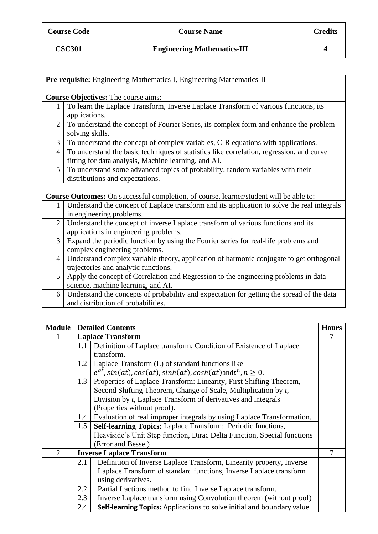| <b>Course Code</b> |
|--------------------|
|                    |
|                    |

| Pre-requisite: Engineering Mathematics-I, Engineering Mathematics-II                        |  |  |  |  |
|---------------------------------------------------------------------------------------------|--|--|--|--|
|                                                                                             |  |  |  |  |
| <b>Course Objectives:</b> The course aims:                                                  |  |  |  |  |
| To learn the Laplace Transform, Inverse Laplace Transform of various functions, its         |  |  |  |  |
| applications.                                                                               |  |  |  |  |
| To understand the concept of Fourier Series, its complex form and enhance the problem-      |  |  |  |  |
| solving skills.                                                                             |  |  |  |  |
| To understand the concept of complex variables, C-R equations with applications.            |  |  |  |  |
| To understand the basic techniques of statistics like correlation, regression, and curve    |  |  |  |  |
| fitting for data analysis, Machine learning, and AI.                                        |  |  |  |  |
| To understand some advanced topics of probability, random variables with their              |  |  |  |  |
| distributions and expectations.                                                             |  |  |  |  |
|                                                                                             |  |  |  |  |
| Course Outcomes: On successful completion, of course, learner/student will be able to:      |  |  |  |  |
| Understand the concept of Laplace transform and its application to solve the real integrals |  |  |  |  |
| in engineering problems.                                                                    |  |  |  |  |
| Understand the concept of inverse Laplace transform of various functions and its            |  |  |  |  |
| applications in engineering problems.                                                       |  |  |  |  |
| Expand the periodic function by using the Fourier series for real-life problems and         |  |  |  |  |
| complex engineering problems.                                                               |  |  |  |  |
| Understand complex variable theory, application of harmonic conjugate to get orthogonal     |  |  |  |  |
| trajectories and analytic functions.                                                        |  |  |  |  |
| Apply the concept of Correlation and Regression to the engineering problems in data         |  |  |  |  |
| science, machine learning, and AI.                                                          |  |  |  |  |
| Understand the concepts of probability and expectation for getting the spread of the data   |  |  |  |  |
| and distribution of probabilities.                                                          |  |  |  |  |
|                                                                                             |  |  |  |  |

| Module                      |     | <b>Detailed Contents</b>                                                        | <b>Hours</b> |
|-----------------------------|-----|---------------------------------------------------------------------------------|--------------|
|                             |     | <b>Laplace Transform</b>                                                        |              |
|                             | 1.1 | Definition of Laplace transform, Condition of Existence of Laplace              |              |
|                             |     | transform.                                                                      |              |
|                             | 1.2 | Laplace Transform (L) of standard functions like                                |              |
|                             |     | $e^{at}$ , sin(at), cos(at), sinh(at), cosh(at)andt <sup>n</sup> , $n \geq 0$ . |              |
|                             | 1.3 | Properties of Laplace Transform: Linearity, First Shifting Theorem,             |              |
|                             |     | Second Shifting Theorem, Change of Scale, Multiplication by t,                  |              |
|                             |     | Division by t, Laplace Transform of derivatives and integrals                   |              |
|                             |     | (Properties without proof).                                                     |              |
|                             | 1.4 | Evaluation of real improper integrals by using Laplace Transformation.          |              |
|                             | 1.5 | Self-learning Topics: Laplace Transform: Periodic functions,                    |              |
|                             |     | Heaviside's Unit Step function, Dirac Delta Function, Special functions         |              |
|                             |     | (Error and Bessel)                                                              |              |
| $\mathcal{D}_{\mathcal{L}}$ |     | <b>Inverse Laplace Transform</b>                                                |              |
|                             | 2.1 | Definition of Inverse Laplace Transform, Linearity property, Inverse            |              |
|                             |     | Laplace Transform of standard functions, Inverse Laplace transform              |              |
|                             |     | using derivatives.                                                              |              |
|                             | 2.2 | Partial fractions method to find Inverse Laplace transform.                     |              |
|                             | 2.3 | Inverse Laplace transform using Convolution theorem (without proof)             |              |
|                             | 2.4 | Self-learning Topics: Applications to solve initial and boundary value          |              |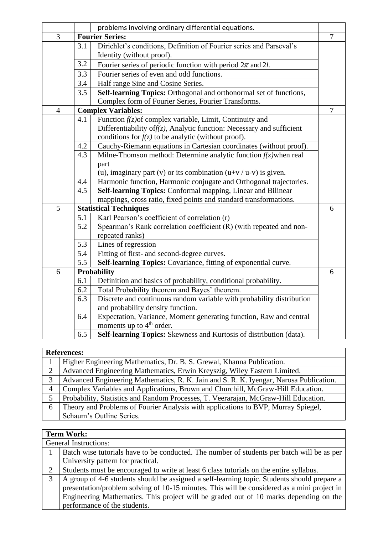|                |     | problems involving ordinary differential equations.                       |                |  |  |
|----------------|-----|---------------------------------------------------------------------------|----------------|--|--|
| $\overline{3}$ |     | <b>Fourier Series:</b>                                                    | $\overline{7}$ |  |  |
|                | 3.1 | Dirichlet's conditions, Definition of Fourier series and Parseval's       |                |  |  |
|                |     | Identity (without proof).                                                 |                |  |  |
|                | 3.2 | Fourier series of periodic function with period $2\pi$ and 2l.            |                |  |  |
|                | 3.3 | Fourier series of even and odd functions.                                 |                |  |  |
|                | 3.4 | Half range Sine and Cosine Series.                                        |                |  |  |
|                | 3.5 | Self-learning Topics: Orthogonal and orthonormal set of functions,        |                |  |  |
|                |     | Complex form of Fourier Series, Fourier Transforms.                       |                |  |  |
| $\overline{4}$ |     | <b>Complex Variables:</b>                                                 | $\overline{7}$ |  |  |
|                | 4.1 | Function $f(z)$ of complex variable, Limit, Continuity and                |                |  |  |
|                |     | Differentiability of $f(z)$ , Analytic function: Necessary and sufficient |                |  |  |
|                |     | conditions for $f(z)$ to be analytic (without proof).                     |                |  |  |
|                | 4.2 | Cauchy-Riemann equations in Cartesian coordinates (without proof).        |                |  |  |
|                | 4.3 | Milne-Thomson method: Determine analytic function $f(z)$ when real        |                |  |  |
|                |     | part                                                                      |                |  |  |
|                |     | (u), imaginary part (v) or its combination $(u+v/u-v)$ is given.          |                |  |  |
|                | 4.4 | Harmonic function, Harmonic conjugate and Orthogonal trajectories.        |                |  |  |
|                | 4.5 | Self-learning Topics: Conformal mapping, Linear and Bilinear              |                |  |  |
|                |     | mappings, cross ratio, fixed points and standard transformations.         |                |  |  |
| 5              |     | <b>Statistical Techniques</b>                                             | 6              |  |  |
|                | 5.1 | Karl Pearson's coefficient of correlation (r)                             |                |  |  |
|                | 5.2 | Spearman's Rank correlation coefficient (R) (with repeated and non-       |                |  |  |
|                |     | repeated ranks)                                                           |                |  |  |
|                | 5.3 | Lines of regression                                                       |                |  |  |
|                | 5.4 | Fitting of first- and second-degree curves.                               |                |  |  |
|                | 5.5 | Self-learning Topics: Covariance, fitting of exponential curve.           |                |  |  |
| 6              |     | <b>Probability</b>                                                        | 6              |  |  |
|                | 6.1 | Definition and basics of probability, conditional probability.            |                |  |  |
|                | 6.2 | Total Probability theorem and Bayes' theorem.                             |                |  |  |
|                | 6.3 | Discrete and continuous random variable with probability distribution     |                |  |  |
|                |     | and probability density function.                                         |                |  |  |
|                | 6.4 | Expectation, Variance, Moment generating function, Raw and central        |                |  |  |
|                |     | moments up to $4th$ order.                                                |                |  |  |
|                | 6.5 | Self-learning Topics: Skewness and Kurtosis of distribution (data).       |                |  |  |

## **References:**

|   | Higher Engineering Mathematics, Dr. B. S. Grewal, Khanna Publication.                  |
|---|----------------------------------------------------------------------------------------|
|   | Advanced Engineering Mathematics, Erwin Kreyszig, Wiley Eastern Limited.               |
| 3 | Advanced Engineering Mathematics, R. K. Jain and S. R. K. Iyengar, Narosa Publication. |
| 4 | Complex Variables and Applications, Brown and Churchill, McGraw-Hill Education.        |
|   | Probability, Statistics and Random Processes, T. Veerarajan, McGraw-Hill Education.    |
| 6 | Theory and Problems of Fourier Analysis with applications to BVP, Murray Spiegel,      |
|   | Schaum's Outline Series.                                                               |

|   | <b>Term Work:</b>                                                                           |  |  |  |  |
|---|---------------------------------------------------------------------------------------------|--|--|--|--|
|   | <b>General Instructions:</b>                                                                |  |  |  |  |
|   | Batch wise tutorials have to be conducted. The number of students per batch will be as per  |  |  |  |  |
|   | University pattern for practical.                                                           |  |  |  |  |
|   | Students must be encouraged to write at least 6 class tutorials on the entire syllabus.     |  |  |  |  |
| 3 | A group of 4-6 students should be assigned a self-learning topic. Students should prepare a |  |  |  |  |
|   | presentation/problem solving of 10-15 minutes. This will be considered as a mini project in |  |  |  |  |
|   | Engineering Mathematics. This project will be graded out of 10 marks depending on the       |  |  |  |  |
|   | performance of the students.                                                                |  |  |  |  |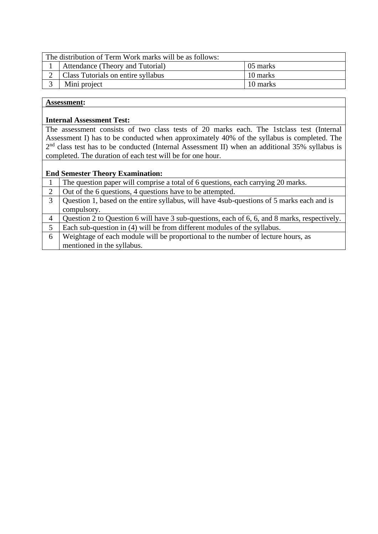| The distribution of Term Work marks will be as follows: |          |  |  |  |
|---------------------------------------------------------|----------|--|--|--|
| Attendance (Theory and Tutorial)                        | 05 marks |  |  |  |
| Class Tutorials on entire syllabus                      | 10 marks |  |  |  |
| Mini project                                            | 10 marks |  |  |  |
|                                                         |          |  |  |  |

#### **Internal Assessment Test:**

The assessment consists of two class tests of 20 marks each. The 1stclass test (Internal Assessment I) has to be conducted when approximately 40% of the syllabus is completed. The  $2<sup>nd</sup>$  class test has to be conducted (Internal Assessment II) when an additional 35% syllabus is completed. The duration of each test will be for one hour.

|   | The question paper will comprise a total of 6 questions, each carrying 20 marks.             |
|---|----------------------------------------------------------------------------------------------|
|   | Out of the 6 questions, 4 questions have to be attempted.                                    |
| 3 | Question 1, based on the entire syllabus, will have 4 sub-questions of 5 marks each and is   |
|   | compulsory.                                                                                  |
| 4 | Question 2 to Question 6 will have 3 sub-questions, each of 6, 6, and 8 marks, respectively. |
| 5 | Each sub-question in (4) will be from different modules of the syllabus.                     |
| 6 | Weightage of each module will be proportional to the number of lecture hours, as             |
|   | mentioned in the syllabus.                                                                   |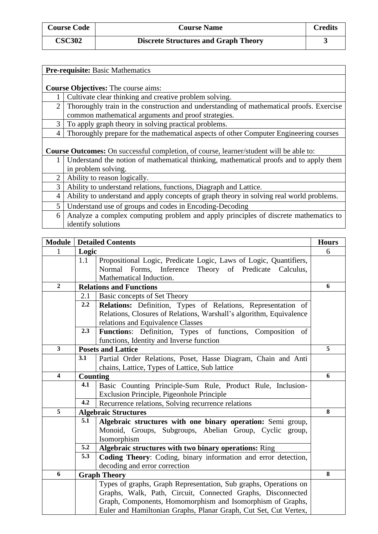| <b>Course Code</b> | <b>Course Name</b>                          | Credits |
|--------------------|---------------------------------------------|---------|
| <b>CSC302</b>      | <b>Discrete Structures and Graph Theory</b> |         |

|                | <b>Pre-requisite: Basic Mathematics</b>                                                       |
|----------------|-----------------------------------------------------------------------------------------------|
|                |                                                                                               |
|                | <b>Course Objectives:</b> The course aims:                                                    |
|                | Cultivate clear thinking and creative problem solving.                                        |
| 2              | Thoroughly train in the construction and understanding of mathematical proofs. Exercise       |
|                | common mathematical arguments and proof strategies.                                           |
| 3              | To apply graph theory in solving practical problems.                                          |
| 4              | Thoroughly prepare for the mathematical aspects of other Computer Engineering courses         |
|                |                                                                                               |
|                | <b>Course Outcomes:</b> On successful completion, of course, learner/student will be able to: |
| 1              | Understand the notion of mathematical thinking, mathematical proofs and to apply them         |
|                | in problem solving.                                                                           |
| $\overline{2}$ | Ability to reason logically.                                                                  |
| 3              | Ability to understand relations, functions, Diagraph and Lattice.                             |
| $\overline{4}$ | Ability to understand and apply concepts of graph theory in solving real world problems.      |
| 5              | Understand use of groups and codes in Encoding-Decoding                                       |
| 6              | Analyze a complex computing problem and apply principles of discrete mathematics to           |
|                | identify solutions                                                                            |

| <b>Module</b>           |          | <b>Detailed Contents</b>                                            | <b>Hours</b> |
|-------------------------|----------|---------------------------------------------------------------------|--------------|
|                         | Logic    |                                                                     | 6            |
|                         | 1.1      | Propositional Logic, Predicate Logic, Laws of Logic, Quantifiers,   |              |
|                         |          | Normal<br>Forms, Inference Theory of Predicate Calculus,            |              |
|                         |          | Mathematical Induction.                                             |              |
| $\overline{2}$          |          | <b>Relations and Functions</b>                                      | 6            |
|                         | 2.1      | Basic concepts of Set Theory                                        |              |
|                         | 2.2      | Relations: Definition, Types of Relations, Representation of        |              |
|                         |          | Relations, Closures of Relations, Warshall's algorithm, Equivalence |              |
|                         |          | relations and Equivalence Classes                                   |              |
|                         | 2.3      | Functions: Definition, Types of functions, Composition of           |              |
|                         |          | functions, Identity and Inverse function                            |              |
| $\mathbf{3}$            |          | <b>Posets and Lattice</b>                                           | 5            |
|                         | 3.1      | Partial Order Relations, Poset, Hasse Diagram, Chain and Anti       |              |
|                         |          | chains, Lattice, Types of Lattice, Sub lattice                      |              |
| $\overline{\mathbf{4}}$ | Counting |                                                                     | 6            |
|                         | 4.1      | Basic Counting Principle-Sum Rule, Product Rule, Inclusion-         |              |
|                         |          | Exclusion Principle, Pigeonhole Principle                           |              |
|                         | 4.2      | Recurrence relations, Solving recurrence relations                  |              |
| 5                       |          | <b>Algebraic Structures</b>                                         | 8            |
|                         | 5.1      | Algebraic structures with one binary operation: Semi group,         |              |
|                         |          | Monoid, Groups, Subgroups, Abelian Group, Cyclic group,             |              |
|                         |          | Isomorphism                                                         |              |
|                         | 5.2      | Algebraic structures with two binary operations: Ring               |              |
|                         | 5.3      | Coding Theory: Coding, binary information and error detection,      |              |
|                         |          | decoding and error correction                                       |              |
| 6                       |          | <b>Graph Theory</b>                                                 | 8            |
|                         |          | Types of graphs, Graph Representation, Sub graphs, Operations on    |              |
|                         |          | Graphs, Walk, Path, Circuit, Connected Graphs, Disconnected         |              |
|                         |          | Graph, Components, Homomorphism and Isomorphism of Graphs,          |              |
|                         |          | Euler and Hamiltonian Graphs, Planar Graph, Cut Set, Cut Vertex,    |              |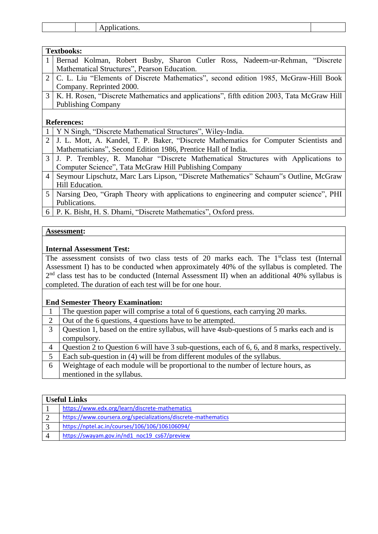|  | .<br>--- |  |
|--|----------|--|
|  |          |  |

|                | <b>Textbooks:</b>                                                                          |
|----------------|--------------------------------------------------------------------------------------------|
|                | Bernad Kolman, Robert Busby, Sharon Cutler Ross, Nadeem-ur-Rehman, "Discrete               |
|                | Mathematical Structures", Pearson Education.                                               |
| $\overline{2}$ | C. L. Liu "Elements of Discrete Mathematics", second edition 1985, McGraw-Hill Book        |
|                | Company. Reprinted 2000.                                                                   |
| 3              | K. H. Rosen, "Discrete Mathematics and applications", fifth edition 2003, Tata McGraw Hill |
|                | <b>Publishing Company</b>                                                                  |
|                |                                                                                            |
|                | <b>References:</b>                                                                         |
|                | Y N Singh, "Discrete Mathematical Structures", Wiley-India.                                |
| $\overline{2}$ | J. L. Mott, A. Kandel, T. P. Baker, "Discrete Mathematics for Computer Scientists and      |
|                | Mathematicians", Second Edition 1986, Prentice Hall of India.                              |
| 3              | J. P. Trembley, R. Manohar "Discrete Mathematical Structures with Applications to          |
|                | Computer Science", Tata McGraw Hill Publishing Company                                     |
| $\overline{4}$ | Seymour Lipschutz, Marc Lars Lipson, "Discrete Mathematics" Schaum"s Outline, McGraw       |
|                | Hill Education.                                                                            |
| 5              | Narsing Deo, "Graph Theory with applications to engineering and computer science", PHI     |
|                | Publications.                                                                              |
| 6              | P. K. Bisht, H. S. Dhami, "Discrete Mathematics", Oxford press.                            |

#### **Internal Assessment Test:**

The assessment consists of two class tests of 20 marks each. The 1<sup>st</sup>class test (Internal Assessment I) has to be conducted when approximately 40% of the syllabus is completed. The 2<sup>nd</sup> class test has to be conducted (Internal Assessment II) when an additional 40% syllabus is completed. The duration of each test will be for one hour.

|                | The question paper will comprise a total of 6 questions, each carrying 20 marks.             |
|----------------|----------------------------------------------------------------------------------------------|
|                | Out of the 6 questions, 4 questions have to be attempted.                                    |
|                | Question 1, based on the entire syllabus, will have 4 sub-questions of 5 marks each and is   |
|                | compulsory.                                                                                  |
| $\overline{4}$ | Question 2 to Question 6 will have 3 sub-questions, each of 6, 6, and 8 marks, respectively. |
| 5              | Each sub-question in (4) will be from different modules of the syllabus.                     |
| 6              | Weightage of each module will be proportional to the number of lecture hours, as             |
|                | mentioned in the syllabus.                                                                   |

| <b>Useful Links</b>                                           |  |
|---------------------------------------------------------------|--|
| https://www.edx.org/learn/discrete-mathematics                |  |
| https://www.coursera.org/specializations/discrete-mathematics |  |
| https://nptel.ac.in/courses/106/106/106106094/                |  |
| https://swayam.gov.in/nd1 noc19 cs67/preview                  |  |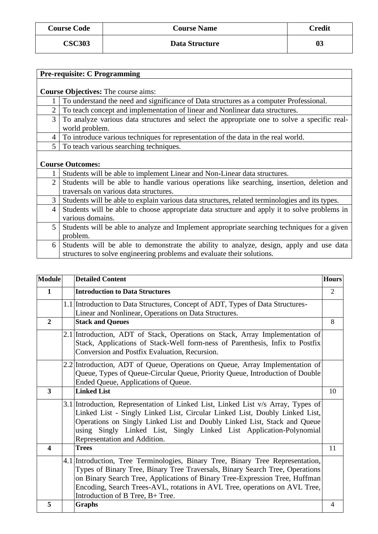| <b>Course Code</b> | <b>Course Name</b> | <b>Credit</b> |
|--------------------|--------------------|---------------|
| <b>CSC303</b>      | Data Structure     | 03            |

|                | <b>Pre-requisite: C Programming</b>                                                                           |
|----------------|---------------------------------------------------------------------------------------------------------------|
|                |                                                                                                               |
|                | <b>Course Objectives:</b> The course aims:                                                                    |
|                | To understand the need and significance of Data structures as a computer Professional.                        |
| $\overline{2}$ | To teach concept and implementation of linear and Nonlinear data structures.                                  |
| 3              | To analyze various data structures and select the appropriate one to solve a specific real-<br>world problem. |
| $4\vert$       | To introduce various techniques for representation of the data in the real world.                             |
|                | 5 To teach various searching techniques.                                                                      |
|                | <b>Course Outcomes:</b>                                                                                       |
|                | Students will be able to implement Linear and Non-Linear data structures.                                     |
| $\overline{2}$ | Students will be able to handle various operations like searching, insertion, deletion and                    |
|                | traversals on various data structures.                                                                        |
| $\mathfrak{Z}$ | Students will be able to explain various data structures, related terminologies and its types.                |
| $\overline{4}$ | Students will be able to choose appropriate data structure and apply it to solve problems in                  |
|                | various domains.                                                                                              |
| 5              | Students will be able to analyze and Implement appropriate searching techniques for a given                   |
|                | problem.                                                                                                      |
| 6              | Students will be able to demonstrate the ability to analyze, design, apply and use data                       |
|                | structures to solve engineering problems and evaluate their solutions.                                        |

| <b>Module</b>    | <b>Detailed Content</b>                                                                                                                                                                                                                                                                                                                                         | <b>Hours</b>   |
|------------------|-----------------------------------------------------------------------------------------------------------------------------------------------------------------------------------------------------------------------------------------------------------------------------------------------------------------------------------------------------------------|----------------|
| $\mathbf{1}$     | <b>Introduction to Data Structures</b>                                                                                                                                                                                                                                                                                                                          | $\overline{2}$ |
|                  | 1.1 Introduction to Data Structures, Concept of ADT, Types of Data Structures-<br>Linear and Nonlinear, Operations on Data Structures.                                                                                                                                                                                                                          |                |
| $\overline{2}$   | <b>Stack and Queues</b>                                                                                                                                                                                                                                                                                                                                         | 8              |
|                  | 2.1 Introduction, ADT of Stack, Operations on Stack, Array Implementation of<br>Stack, Applications of Stack-Well form-ness of Parenthesis, Infix to Postfix<br>Conversion and Postfix Evaluation, Recursion.                                                                                                                                                   |                |
|                  | 2.2 Introduction, ADT of Queue, Operations on Queue, Array Implementation of<br>Queue, Types of Queue-Circular Queue, Priority Queue, Introduction of Double<br>Ended Queue, Applications of Queue.                                                                                                                                                             |                |
| 3                | <b>Linked List</b>                                                                                                                                                                                                                                                                                                                                              | 10             |
|                  | 3.1 Introduction, Representation of Linked List, Linked List v/s Array, Types of<br>Linked List - Singly Linked List, Circular Linked List, Doubly Linked List,<br>Operations on Singly Linked List and Doubly Linked List, Stack and Queue<br>using Singly Linked List, Singly Linked List Application-Polynomial<br>Representation and Addition.              |                |
| $\boldsymbol{4}$ | <b>Trees</b>                                                                                                                                                                                                                                                                                                                                                    | 11             |
|                  | 4.1 Introduction, Tree Terminologies, Binary Tree, Binary Tree Representation,<br>Types of Binary Tree, Binary Tree Traversals, Binary Search Tree, Operations<br>on Binary Search Tree, Applications of Binary Tree-Expression Tree, Huffman<br>Encoding, Search Trees-AVL, rotations in AVL Tree, operations on AVL Tree,<br>Introduction of B Tree, B+ Tree. |                |
| 5                | Graphs                                                                                                                                                                                                                                                                                                                                                          | 4              |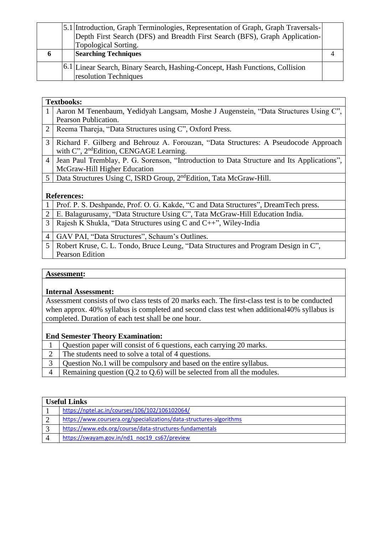|                     | 5.1 Introduction, Graph Terminologies, Representation of Graph, Graph Traversals- |  |
|---------------------|-----------------------------------------------------------------------------------|--|
|                     | Depth First Search (DFS) and Breadth First Search (BFS), Graph Application-       |  |
|                     | Topological Sorting.                                                              |  |
| $\ddot{\mathbf{a}}$ | <b>Searching Techniques</b>                                                       |  |
|                     | [6.1] Linear Search, Binary Search, Hashing-Concept, Hash Functions, Collision    |  |
|                     | resolution Techniques                                                             |  |

|                | <b>Textbooks:</b>                                                                          |  |  |
|----------------|--------------------------------------------------------------------------------------------|--|--|
|                | Aaron M Tenenbaum, Yedidyah Langsam, Moshe J Augenstein, "Data Structures Using C",        |  |  |
|                | Pearson Publication.                                                                       |  |  |
| 2              | Reema Thareja, "Data Structures using C", Oxford Press.                                    |  |  |
| 3              | Richard F. Gilberg and Behrouz A. Forouzan, "Data Structures: A Pseudocode Approach        |  |  |
|                | with C", 2 <sup>nd</sup> Edition, CENGAGE Learning.                                        |  |  |
| $\overline{4}$ | Jean Paul Tremblay, P. G. Sorenson, "Introduction to Data Structure and Its Applications", |  |  |
|                | McGraw-Hill Higher Education                                                               |  |  |
| 5              | Data Structures Using C, ISRD Group, 2 <sup>nd</sup> Edition, Tata McGraw-Hill.            |  |  |
|                |                                                                                            |  |  |
|                | <b>References:</b>                                                                         |  |  |
|                | Prof. P. S. Deshpande, Prof. O. G. Kakde, "C and Data Structures", DreamTech press.        |  |  |
| $\overline{2}$ | E. Balagurusamy, "Data Structure Using C", Tata McGraw-Hill Education India.               |  |  |
| 3              | Rajesh K Shukla, "Data Structures using C and C++", Wiley-India                            |  |  |
|                |                                                                                            |  |  |

- 4 GAV PAI, "Data Structures", Schaum's Outlines. 5 Robert Kruse, C. L. Tondo, Bruce Leung, "Data Structures and Program Design in C",
	- Pearson Edition

#### **Internal Assessment:**

Assessment consists of two class tests of 20 marks each. The first-class test is to be conducted when approx. 40% syllabus is completed and second class test when additional40% syllabus is completed. Duration of each test shall be one hour.

|           | Question paper will consist of 6 questions, each carrying 20 marks.               |
|-----------|-----------------------------------------------------------------------------------|
|           | The students need to solve a total of 4 questions.                                |
|           | 3   Question No.1 will be compulsory and based on the entire syllabus.            |
| $\Lambda$ | Remaining question $(Q.2 \text{ to } Q.6)$ will be selected from all the modules. |

| <b>Useful Links</b> |                                                                     |  |
|---------------------|---------------------------------------------------------------------|--|
|                     | https://nptel.ac.in/courses/106/102/106102064/                      |  |
|                     | https://www.coursera.org/specializations/data-structures-algorithms |  |
|                     | https://www.edx.org/course/data-structures-fundamentals             |  |
|                     | https://swayam.gov.in/nd1 noc19 cs67/preview                        |  |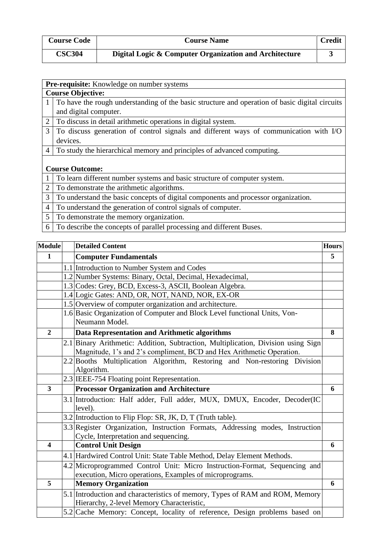| <b>Course Code</b> | <b>Course Name</b>                                     | <b>Credit</b> |
|--------------------|--------------------------------------------------------|---------------|
| <b>CSC304</b>      | Digital Logic & Computer Organization and Architecture |               |

|                | <b>Pre-requisite:</b> Knowledge on number systems                                              |  |  |
|----------------|------------------------------------------------------------------------------------------------|--|--|
|                | <b>Course Objective:</b>                                                                       |  |  |
| 1              | To have the rough understanding of the basic structure and operation of basic digital circuits |  |  |
|                | and digital computer.                                                                          |  |  |
| $\overline{2}$ | To discuss in detail arithmetic operations in digital system.                                  |  |  |
| 3              | To discuss generation of control signals and different ways of communication with I/O          |  |  |
|                | devices.                                                                                       |  |  |
| $\overline{4}$ | To study the hierarchical memory and principles of advanced computing.                         |  |  |
|                |                                                                                                |  |  |
|                | <b>Course Outcome:</b>                                                                         |  |  |
|                | To learn different number systems and basic structure of computer system.                      |  |  |
| $\overline{2}$ | To demonstrate the arithmetic algorithms.                                                      |  |  |
| 3              | To understand the basic concepts of digital components and processor organization.             |  |  |
| $\overline{4}$ | To understand the generation of control signals of computer.                                   |  |  |
|                |                                                                                                |  |  |

- 5 To demonstrate the memory organization.
- 6 To describe the concepts of parallel processing and different Buses.

| <b>Module</b>  | <b>Detailed Content</b>                                                                                                                                   | <b>Hours</b> |
|----------------|-----------------------------------------------------------------------------------------------------------------------------------------------------------|--------------|
| $\mathbf{1}$   | <b>Computer Fundamentals</b>                                                                                                                              | 5            |
|                | 1.1 Introduction to Number System and Codes                                                                                                               |              |
|                | 1.2 Number Systems: Binary, Octal, Decimal, Hexadecimal,                                                                                                  |              |
|                | 1.3 Codes: Grey, BCD, Excess-3, ASCII, Boolean Algebra.                                                                                                   |              |
|                | 1.4 Logic Gates: AND, OR, NOT, NAND, NOR, EX-OR                                                                                                           |              |
|                | 1.5 Overview of computer organization and architecture.                                                                                                   |              |
|                | 1.6 Basic Organization of Computer and Block Level functional Units, Von-                                                                                 |              |
|                | Neumann Model.                                                                                                                                            |              |
| $\overline{2}$ | Data Representation and Arithmetic algorithms                                                                                                             | 8            |
|                | 2.1 Binary Arithmetic: Addition, Subtraction, Multiplication, Division using Sign<br>Magnitude, 1's and 2's compliment, BCD and Hex Arithmetic Operation. |              |
|                | 2.2 Booths Multiplication Algorithm, Restoring and Non-restoring Division                                                                                 |              |
|                | Algorithm.                                                                                                                                                |              |
|                | 2.3 IEEE-754 Floating point Representation.                                                                                                               |              |
| 3              | <b>Processor Organization and Architecture</b>                                                                                                            | 6            |
|                | 3.1 Introduction: Half adder, Full adder, MUX, DMUX, Encoder, Decoder(IC                                                                                  |              |
|                | level).                                                                                                                                                   |              |
|                | 3.2 Introduction to Flip Flop: SR, JK, D, T (Truth table).                                                                                                |              |
|                | 3.3 Register Organization, Instruction Formats, Addressing modes, Instruction                                                                             |              |
|                | Cycle, Interpretation and sequencing.                                                                                                                     |              |
| 4              | <b>Control Unit Design</b>                                                                                                                                | 6            |
|                | 4.1 Hardwired Control Unit: State Table Method, Delay Element Methods.                                                                                    |              |
|                | 4.2 Microprogrammed Control Unit: Micro Instruction-Format, Sequencing and                                                                                |              |
|                | execution, Micro operations, Examples of microprograms.                                                                                                   |              |
| 5              | <b>Memory Organization</b>                                                                                                                                | 6            |
|                | 5.1 Introduction and characteristics of memory, Types of RAM and ROM, Memory<br>Hierarchy, 2-level Memory Characteristic,                                 |              |
|                | 5.2 Cache Memory: Concept, locality of reference, Design problems based on                                                                                |              |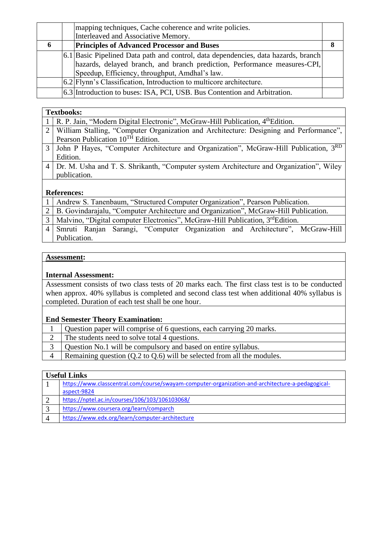|    | mapping techniques, Cache coherence and write policies.                            |  |
|----|------------------------------------------------------------------------------------|--|
|    | Interleaved and Associative Memory.                                                |  |
| -6 | <b>Principles of Advanced Processor and Buses</b>                                  |  |
|    | 6.1 Basic Pipelined Data path and control, data dependencies, data hazards, branch |  |
|    | hazards, delayed branch, and branch prediction, Performance measures-CPI,          |  |
|    | Speedup, Efficiency, throughput, Amdhal's law.                                     |  |
|    | 6.2 Flynn's Classification, Introduction to multicore architecture.                |  |
|    | 6.3 Introduction to buses: ISA, PCI, USB. Bus Contention and Arbitration.          |  |

#### **Textbooks:**

| R. P. Jain, "Modern Digital Electronic", McGraw-Hill Publication, 4 <sup>th</sup> Edition.       |  |  |
|--------------------------------------------------------------------------------------------------|--|--|
| William Stalling, "Computer Organization and Architecture: Designing and Performance",           |  |  |
| Pearson Publication 10 <sup>TH</sup> Edition.                                                    |  |  |
| John P Hayes, "Computer Architecture and Organization", McGraw-Hill Publication, 3 <sup>RD</sup> |  |  |
| Edition.                                                                                         |  |  |
| 4   Dr. M. Usha and T. S. Shrikanth, "Computer system Architecture and Organization", Wiley      |  |  |
| publication.                                                                                     |  |  |
|                                                                                                  |  |  |
| <b>References:</b>                                                                               |  |  |
|                                                                                                  |  |  |

#### 1 Andrew S. Tanenbaum, "Structured Computer Organization", Pearson Publication.

- 2 B. Govindarajalu, "Computer Architecture and Organization", McGraw-Hill Publication.
- 3 Malvino, "Digital computer Electronics", McGraw-Hill Publication, 3<sup>rd</sup>Edition.
- 4 Smruti Ranjan Sarangi, "Computer Organization and Architecture", McGraw-Hill Publication.

#### **Assessment:**

#### **Internal Assessment:**

Assessment consists of two class tests of 20 marks each. The first class test is to be conducted when approx. 40% syllabus is completed and second class test when additional 40% syllabus is completed. Duration of each test shall be one hour.

#### **End Semester Theory Examination:**

- 1 Question paper will comprise of 6 questions, each carrying 20 marks.
- 2 The students need to solve total 4 questions.
- 3 Question No.1 will be compulsory and based on entire syllabus.
- 4 Remaining question (Q.2 to Q.6) will be selected from all the modules.

## **Useful Links**

| https://www.classcentral.com/course/swayam-computer-organization-and-architecture-a-pedagogical- |  |  |
|--------------------------------------------------------------------------------------------------|--|--|
| aspect-9824                                                                                      |  |  |
| https://nptel.ac.in/courses/106/103/106103068/                                                   |  |  |
| https://www.coursera.org/learn/comparch                                                          |  |  |
| https://www.edx.org/learn/computer-architecture                                                  |  |  |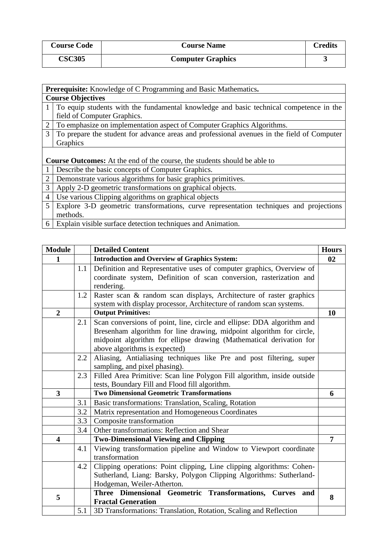| <b>Course Code</b> | <b>Course Name</b>       | Credits |
|--------------------|--------------------------|---------|
| <b>CSC305</b>      | <b>Computer Graphics</b> |         |

|                | Prerequisite: Knowledge of C Programming and Basic Mathematics.                            |  |  |
|----------------|--------------------------------------------------------------------------------------------|--|--|
|                | <b>Course Objectives</b>                                                                   |  |  |
|                | To equip students with the fundamental knowledge and basic technical competence in the     |  |  |
|                | field of Computer Graphics.                                                                |  |  |
| $\overline{2}$ | To emphasize on implementation aspect of Computer Graphics Algorithms.                     |  |  |
| 3 <sup>7</sup> | To prepare the student for advance areas and professional avenues in the field of Computer |  |  |
|                | Graphics                                                                                   |  |  |
|                |                                                                                            |  |  |
|                | <b>Course Outcomes:</b> At the end of the course, the students should be able to           |  |  |
|                | Describe the basic concepts of Computer Graphics.                                          |  |  |
| $\overline{2}$ | Demonstrate various algorithms for basic graphics primitives.                              |  |  |
| 3              | Apply 2-D geometric transformations on graphical objects.                                  |  |  |
| $\overline{4}$ | Use various Clipping algorithms on graphical objects                                       |  |  |
| 5              | Explore 3-D geometric transformations, curve representation techniques and projections     |  |  |
|                | methods.                                                                                   |  |  |
|                | 6 Explain visible surface detection techniques and Animation.                              |  |  |

| <b>Module</b>    |     | <b>Detailed Content</b>                                                 | <b>Hours</b>   |
|------------------|-----|-------------------------------------------------------------------------|----------------|
| $\mathbf{1}$     |     | <b>Introduction and Overview of Graphics System:</b>                    | 02             |
|                  | 1.1 | Definition and Representative uses of computer graphics, Overview of    |                |
|                  |     | coordinate system, Definition of scan conversion, rasterization and     |                |
|                  |     | rendering.                                                              |                |
|                  | 1.2 | Raster scan & random scan displays, Architecture of raster graphics     |                |
|                  |     | system with display processor, Architecture of random scan systems.     |                |
| $\boldsymbol{2}$ |     | <b>Output Primitives:</b>                                               | 10             |
|                  | 2.1 | Scan conversions of point, line, circle and ellipse: DDA algorithm and  |                |
|                  |     | Bresenham algorithm for line drawing, midpoint algorithm for circle,    |                |
|                  |     | midpoint algorithm for ellipse drawing (Mathematical derivation for     |                |
|                  |     | above algorithms is expected)                                           |                |
|                  | 2.2 | Aliasing, Antialiasing techniques like Pre and post filtering, super    |                |
|                  |     | sampling, and pixel phasing).                                           |                |
|                  | 2.3 | Filled Area Primitive: Scan line Polygon Fill algorithm, inside outside |                |
|                  |     | tests, Boundary Fill and Flood fill algorithm.                          |                |
| $\mathbf{3}$     |     | <b>Two Dimensional Geometric Transformations</b>                        | 6              |
|                  | 3.1 | Basic transformations: Translation, Scaling, Rotation                   |                |
|                  | 3.2 | Matrix representation and Homogeneous Coordinates                       |                |
|                  | 3.3 | Composite transformation                                                |                |
|                  | 3.4 | Other transformations: Reflection and Shear                             |                |
| 4                |     | <b>Two-Dimensional Viewing and Clipping</b>                             | $\overline{7}$ |
|                  | 4.1 | Viewing transformation pipeline and Window to Viewport coordinate       |                |
|                  |     | transformation                                                          |                |
|                  | 4.2 | Clipping operations: Point clipping, Line clipping algorithms: Cohen-   |                |
|                  |     | Sutherland, Liang: Barsky, Polygon Clipping Algorithms: Sutherland-     |                |
|                  |     | Hodgeman, Weiler-Atherton.                                              |                |
| 5                |     | Three Dimensional Geometric Transformations, Curves<br>and              | 8              |
|                  |     | <b>Fractal Generation</b>                                               |                |
|                  | 5.1 | 3D Transformations: Translation, Rotation, Scaling and Reflection       |                |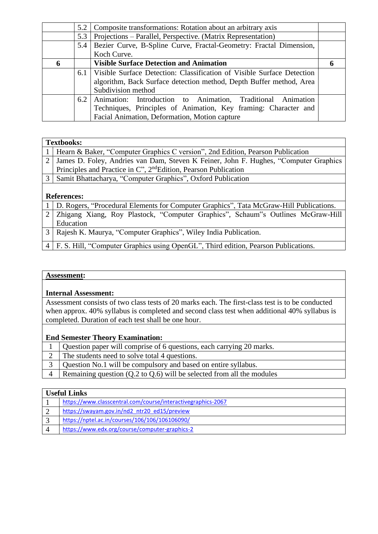|     | Composite transformations: Rotation about an arbitrary axis            |     |
|-----|------------------------------------------------------------------------|-----|
| 5.3 | Projections – Parallel, Perspective. (Matrix Representation)           |     |
| 5.4 | Bezier Curve, B-Spline Curve, Fractal-Geometry: Fractal Dimension,     |     |
|     | Koch Curve.                                                            |     |
|     | <b>Visible Surface Detection and Animation</b>                         |     |
| 6.1 | Visible Surface Detection: Classification of Visible Surface Detection |     |
|     | algorithm, Back Surface detection method, Depth Buffer method, Area    |     |
|     | Subdivision method                                                     |     |
| 6.2 | Animation: Introduction to Animation, Traditional Animation            |     |
|     | Techniques, Principles of Animation, Key framing: Character and        |     |
|     | Facial Animation, Deformation, Motion capture                          |     |
|     |                                                                        | 5.2 |

#### **Textbooks:**

| Hearn & Baker, "Computer Graphics C version", 2nd Edition, Pearson Publication             |
|--------------------------------------------------------------------------------------------|
| James D. Foley, Andries van Dam, Steven K Feiner, John F. Hughes, "Computer Graphics"      |
| Principles and Practice in C", 2 <sup>nd</sup> Edition, Pearson Publication                |
| Samit Bhattacharya, "Computer Graphics", Oxford Publication                                |
|                                                                                            |
| <b>References:</b>                                                                         |
| 1   D. Rogers, "Procedural Elements for Computer Graphics", Tata McGraw-Hill Publications. |
| 2   Zhigang Xiang, Roy Plastock, "Computer Graphics", Schaum"s Outlines McGraw-Hill        |

- Education 3 Rajesh K. Maurya, "Computer Graphics", Wiley India Publication.
- 4 F. S. Hill, "Computer Graphics using OpenGL", Third edition, Pearson Publications.

#### **Assessment:**

#### **Internal Assessment:**

Assessment consists of two class tests of 20 marks each. The first-class test is to be conducted when approx. 40% syllabus is completed and second class test when additional 40% syllabus is completed. Duration of each test shall be one hour.

#### **End Semester Theory Examination:**

- 1 Question paper will comprise of 6 questions, each carrying 20 marks.
- 2 The students need to solve total 4 questions.
- 3 Question No.1 will be compulsory and based on entire syllabus.
- $\overline{4}$  Remaining question (Q.2 to Q.6) will be selected from all the modules

#### **Useful Links**

- 1 <https://www.classcentral.com/course/interactivegraphics-2067> 2 [https://swayam.gov.in/nd2\\_ntr20\\_ed15/preview](https://swayam.gov.in/nd2_ntr20_ed15/preview) 3 <https://nptel.ac.in/courses/106/106/106106090/>
- 4 <https://www.edx.org/course/computer-graphics-2>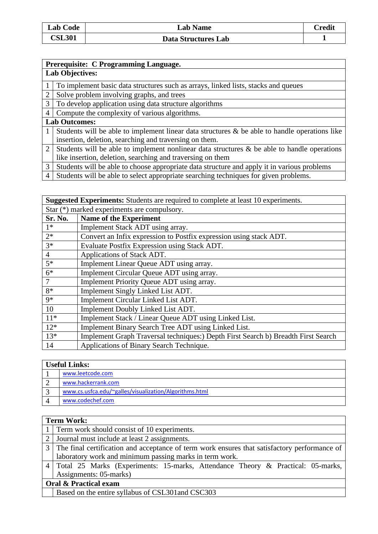| Prerequisite: C Programming Language. |
|---------------------------------------|

## **Lab Objectives:**

1 To implement basic data structures such as arrays, linked lists, stacks and queues

2 Solve problem involving graphs, and trees

3 To develop application using data structure algorithms

4 Compute the complexity of various algorithms.

# **Lab Outcomes:**

1 Students will be able to implement linear data structures & be able to handle operations like insertion, deletion, searching and traversing on them.

- 2 Students will be able to implement nonlinear data structures  $\&$  be able to handle operations like insertion, deletion, searching and traversing on them
- 3 Students will be able to choose appropriate data structure and apply it in various problems
- 4 Students will be able to select appropriate searching techniques for given problems.

| <b>Suggested Experiments:</b> Students are required to complete at least 10 experiments. |                                                                                   |  |
|------------------------------------------------------------------------------------------|-----------------------------------------------------------------------------------|--|
|                                                                                          | Star $(*)$ marked experiments are compulsory.                                     |  |
| Sr. No.                                                                                  | <b>Name of the Experiment</b>                                                     |  |
| $1*$                                                                                     | Implement Stack ADT using array.                                                  |  |
| $2*$                                                                                     | Convert an Infix expression to Postfix expression using stack ADT.                |  |
| $3*$                                                                                     | Evaluate Postfix Expression using Stack ADT.                                      |  |
| $\overline{4}$                                                                           | Applications of Stack ADT.                                                        |  |
| $5*$                                                                                     | Implement Linear Queue ADT using array.                                           |  |
| $6*$                                                                                     | Implement Circular Queue ADT using array.                                         |  |
| 7                                                                                        | Implement Priority Queue ADT using array.                                         |  |
| $8*$                                                                                     | Implement Singly Linked List ADT.                                                 |  |
| $9*$                                                                                     | Implement Circular Linked List ADT.                                               |  |
| 10                                                                                       | Implement Doubly Linked List ADT.                                                 |  |
| $11*$                                                                                    | Implement Stack / Linear Queue ADT using Linked List.                             |  |
| $12*$                                                                                    | Implement Binary Search Tree ADT using Linked List.                               |  |
| $13*$                                                                                    | Implement Graph Traversal techniques:) Depth First Search b) Breadth First Search |  |
| 14                                                                                       | Applications of Binary Search Technique.                                          |  |

## **Useful Links:**

| www.leetcode.com                                       |
|--------------------------------------------------------|
| www.hackerrank.com                                     |
| www.cs.usfca.edu/~galles/visualization/Algorithms.html |
| www.codechef.com                                       |

## **Term Work:**

| 1 Term work should consist of 10 experiments.                                                  |
|------------------------------------------------------------------------------------------------|
| 2 Journal must include at least 2 assignments.                                                 |
| 3 The final certification and acceptance of term work ensures that satisfactory performance of |
| laboratory work and minimum passing marks in term work.                                        |
| 4   Total 25 Marks (Experiments: 15-marks, Attendance Theory & Practical: 05-marks,            |
| Assignments: 05-marks)                                                                         |
| Oral & Practical exam                                                                          |
| Based on the entire syllabus of CSL301 and CSC303                                              |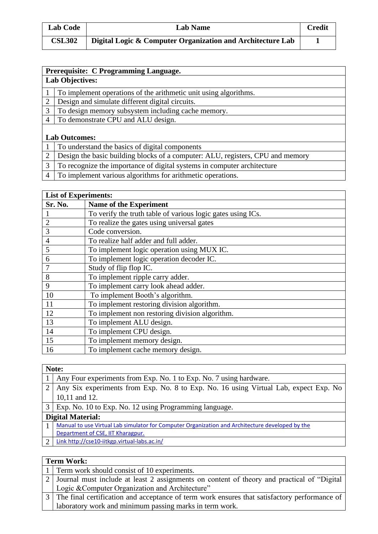| <b>Lab Code</b> | <b>Lab Name</b>                                            | Credit |
|-----------------|------------------------------------------------------------|--------|
| <b>CSL302</b>   | Digital Logic & Computer Organization and Architecture Lab |        |

|   | Prerequisite: C Programming Language.                                          |  |
|---|--------------------------------------------------------------------------------|--|
|   | <b>Lab Objectives:</b>                                                         |  |
|   | To implement operations of the arithmetic unit using algorithms.               |  |
| 2 | Design and simulate different digital circuits.                                |  |
| 3 | To design memory subsystem including cache memory.                             |  |
| 4 | To demonstrate CPU and ALU design.                                             |  |
|   |                                                                                |  |
|   | <b>Lab Outcomes:</b>                                                           |  |
|   | To understand the basics of digital components                                 |  |
|   | Design the basic building blocks of a computer: ALU, registers, CPU and memory |  |
| 3 | To recognize the importance of digital systems in computer architecture        |  |

To implement various algorithms for arithmetic operations.

#### **List of Experiments:**

| Sr. No.        | <b>Name of the Experiment</b>                               |
|----------------|-------------------------------------------------------------|
|                | To verify the truth table of various logic gates using ICs. |
| $\overline{2}$ | To realize the gates using universal gates                  |
| 3              | Code conversion.                                            |
| $\overline{4}$ | To realize half adder and full adder.                       |
| 5              | To implement logic operation using MUX IC.                  |
| 6              | To implement logic operation decoder IC.                    |
|                | Study of flip flop IC.                                      |
| 8              | To implement ripple carry adder.                            |
| 9              | To implement carry look ahead adder.                        |
| 10             | To implement Booth's algorithm.                             |
| 11             | To implement restoring division algorithm.                  |
| 12             | To implement non restoring division algorithm.              |
| 13             | To implement ALU design.                                    |
| 14             | To implement CPU design.                                    |
| 15             | To implement memory design.                                 |
| 16             | To implement cache memory design.                           |

|                          | Note:                                                                                           |  |  |
|--------------------------|-------------------------------------------------------------------------------------------------|--|--|
|                          | Any Four experiments from Exp. No. 1 to Exp. No. 7 using hardware.                              |  |  |
| 2                        | Any Six experiments from Exp. No. 8 to Exp. No. 16 using Virtual Lab, expect Exp. No            |  |  |
|                          | 10,11 and 12.                                                                                   |  |  |
| 3 <sup>1</sup>           | Exp. No. 10 to Exp. No. 12 using Programming language.                                          |  |  |
| <b>Digital Material:</b> |                                                                                                 |  |  |
|                          | Manual to use Virtual Lab simulator for Computer Organization and Architecture developed by the |  |  |
|                          | Department of CSE, IIT Kharagpur.                                                               |  |  |
| 2                        | Link http://cse10-iitkgp.virtual-labs.ac.in/                                                    |  |  |
|                          |                                                                                                 |  |  |

## **Term Work:**

| 1   Term work should consist of 10 experiments.                                                 |
|-------------------------------------------------------------------------------------------------|
| [2] Journal must include at least 2 assignments on content of theory and practical of "Digital" |
| Logic & Computer Organization and Architecture"                                                 |
| 3 The final certification and acceptance of term work ensures that satisfactory performance of  |
| laboratory work and minimum passing marks in term work.                                         |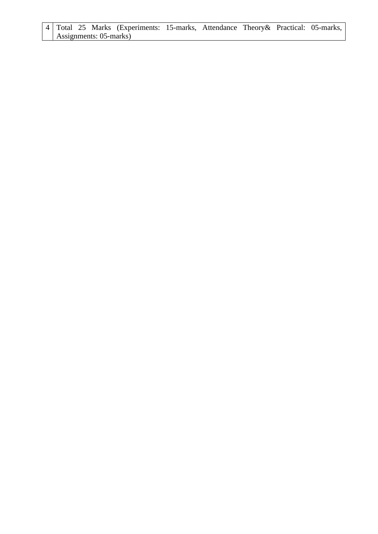#### 4 Total 25 Marks (Experiments: 15-marks, Attendance Theory& Practical: 05-marks, Assignments: 05-marks)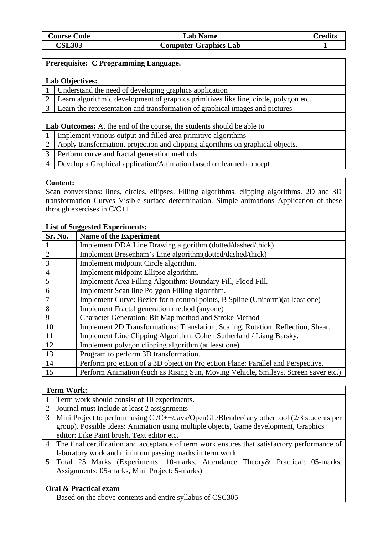| <b>Course Code</b> | <b>Lab Name</b>              | <b>Predits</b> |
|--------------------|------------------------------|----------------|
| <b>CSL303</b>      | <b>Computer Graphics Lab</b> |                |

#### **Prerequisite: C Programming Language.**

#### **Lab Objectives:**

- 1 Understand the need of developing graphics application
- 2 Learn algorithmic development of graphics primitives like line, circle, polygon etc.
- 3 Learn the representation and transformation of graphical images and pictures

#### **Lab Outcomes:** At the end of the course, the students should be able to

- 1 Implement various output and filled area primitive algorithms
- 2 Apply transformation, projection and clipping algorithms on graphical objects.
- 3 Perform curve and fractal generation methods.
- 4 Develop a Graphical application/Animation based on learned concept

#### **Content:**

Scan conversions: lines, circles, ellipses. Filling algorithms, clipping algorithms. 2D and 3D transformation Curves Visible surface determination. Simple animations Application of these through exercises in C/C++

#### **List of Suggested Experiments:**

| Sr. No.        | <b>Name of the Experiment</b>                                                      |
|----------------|------------------------------------------------------------------------------------|
|                | Implement DDA Line Drawing algorithm (dotted/dashed/thick)                         |
| $\overline{2}$ | Implement Bresenham's Line algorithm(dotted/dashed/thick)                          |
| 3              | Implement midpoint Circle algorithm.                                               |
| $\overline{4}$ | Implement midpoint Ellipse algorithm.                                              |
| 5              | Implement Area Filling Algorithm: Boundary Fill, Flood Fill.                       |
| 6              | Implement Scan line Polygon Filling algorithm.                                     |
| 7              | Implement Curve: Bezier for n control points, B Spline (Uniform) (at least one)    |
| 8              | Implement Fractal generation method (anyone)                                       |
| 9              | Character Generation: Bit Map method and Stroke Method                             |
| 10             | Implement 2D Transformations: Translation, Scaling, Rotation, Reflection, Shear.   |
| 11             | Implement Line Clipping Algorithm: Cohen Sutherland / Liang Barsky.                |
| 12             | Implement polygon clipping algorithm (at least one)                                |
| 13             | Program to perform 3D transformation.                                              |
| 14             | Perform projection of a 3D object on Projection Plane: Parallel and Perspective.   |
| 15             | Perform Animation (such as Rising Sun, Moving Vehicle, Smileys, Screen saver etc.) |

#### **Term Work:**

|   | 1 Term work should consist of 10 experiments.                                                  |
|---|------------------------------------------------------------------------------------------------|
| 2 | Journal must include at least 2 assignments                                                    |
| 3 | Mini Project to perform using $C/C++$ Java/OpenGL/Blender/ any other tool (2/3 students per    |
|   | group). Possible Ideas: Animation using multiple objects, Game development, Graphics           |
|   | editor: Like Paint brush, Text editor etc.                                                     |
|   | 4 The final certification and acceptance of term work ensures that satisfactory performance of |
|   | laboratory work and minimum passing marks in term work.                                        |
|   | Total 25 Marks (Experiments: 10-marks, Attendance Theory & Practical: 05-marks,                |
|   | Assignments: 05-marks, Mini Project: 5-marks)                                                  |
|   |                                                                                                |
|   |                                                                                                |

#### **Oral & Practical exam**

Based on the above contents and entire syllabus of CSC305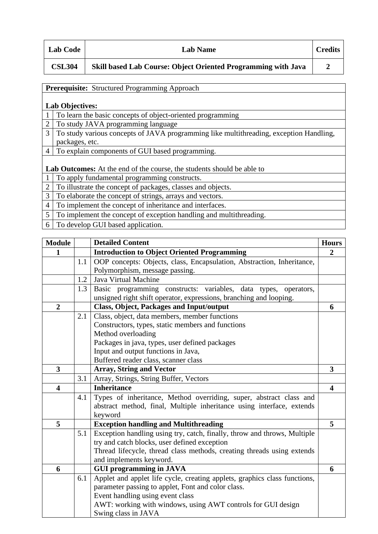| <b>Lab Code</b> | <b>Lab Name</b>                                                      | <b>Credits</b> |
|-----------------|----------------------------------------------------------------------|----------------|
| <b>CSL304</b>   | <b>Skill based Lab Course: Object Oriented Programming with Java</b> |                |

|                | <b>Prerequisite:</b> Structured Programming Approach                                   |  |  |
|----------------|----------------------------------------------------------------------------------------|--|--|
|                |                                                                                        |  |  |
|                | <b>Lab Objectives:</b>                                                                 |  |  |
|                | To learn the basic concepts of object-oriented programming                             |  |  |
| $\overline{2}$ | To study JAVA programming language                                                     |  |  |
| 3              | To study various concepts of JAVA programming like multithreading, exception Handling, |  |  |
|                | packages, etc.                                                                         |  |  |
| 4              | To explain components of GUI based programming.                                        |  |  |
|                |                                                                                        |  |  |
|                | Lab Outcomes: At the end of the course, the students should be able to                 |  |  |
|                | To apply fundamental programming constructs.                                           |  |  |
| $\overline{2}$ | To illustrate the concept of packages, classes and objects.                            |  |  |
| 3              | To elaborate the concept of strings, arrays and vectors.                               |  |  |
| $\overline{4}$ | To implement the concept of inheritance and interfaces.                                |  |  |
| 5              | To implement the concept of exception handling and multithreading.                     |  |  |
|                | $T = 1$ $T = 1$ $T = 1$ $T = 1$                                                        |  |  |

6 To develop GUI based application.

| <b>Module</b>           |     | <b>Detailed Content</b><br><b>Hours</b>                                   |                         |  |  |
|-------------------------|-----|---------------------------------------------------------------------------|-------------------------|--|--|
| 1                       |     | <b>Introduction to Object Oriented Programming</b>                        |                         |  |  |
|                         | 1.1 | OOP concepts: Objects, class, Encapsulation, Abstraction, Inheritance,    |                         |  |  |
|                         |     | Polymorphism, message passing.                                            |                         |  |  |
|                         | 1.2 | Java Virtual Machine                                                      |                         |  |  |
|                         | 1.3 | Basic programming constructs: variables, data types,<br>operators,        |                         |  |  |
|                         |     | unsigned right shift operator, expressions, branching and looping.        |                         |  |  |
| $\overline{2}$          |     | <b>Class, Object, Packages and Input/output</b>                           |                         |  |  |
|                         | 2.1 | Class, object, data members, member functions                             |                         |  |  |
|                         |     | Constructors, types, static members and functions                         |                         |  |  |
|                         |     | Method overloading                                                        |                         |  |  |
|                         |     | Packages in java, types, user defined packages                            |                         |  |  |
|                         |     | Input and output functions in Java,                                       |                         |  |  |
|                         |     | Buffered reader class, scanner class                                      |                         |  |  |
| $\overline{\mathbf{3}}$ |     | <b>Array, String and Vector</b>                                           | $\overline{\mathbf{3}}$ |  |  |
|                         | 3.1 | Array, Strings, String Buffer, Vectors                                    |                         |  |  |
| 4                       |     | <b>Inheritance</b>                                                        | 4                       |  |  |
|                         | 4.1 | Types of inheritance, Method overriding, super, abstract class and        |                         |  |  |
|                         |     | abstract method, final, Multiple inheritance using interface, extends     |                         |  |  |
|                         |     | keyword                                                                   |                         |  |  |
| 5                       |     | <b>Exception handling and Multithreading</b>                              | 5                       |  |  |
|                         | 5.1 | Exception handling using try, catch, finally, throw and throws, Multiple  |                         |  |  |
|                         |     | try and catch blocks, user defined exception                              |                         |  |  |
|                         |     | Thread lifecycle, thread class methods, creating threads using extends    |                         |  |  |
|                         |     | and implements keyword.                                                   |                         |  |  |
| 6                       |     | <b>GUI programming in JAVA</b>                                            | 6                       |  |  |
|                         | 6.1 | Applet and applet life cycle, creating applets, graphics class functions, |                         |  |  |
|                         |     | parameter passing to applet, Font and color class.                        |                         |  |  |
|                         |     | Event handling using event class                                          |                         |  |  |
|                         |     | AWT: working with windows, using AWT controls for GUI design              |                         |  |  |
|                         |     | Swing class in JAVA                                                       |                         |  |  |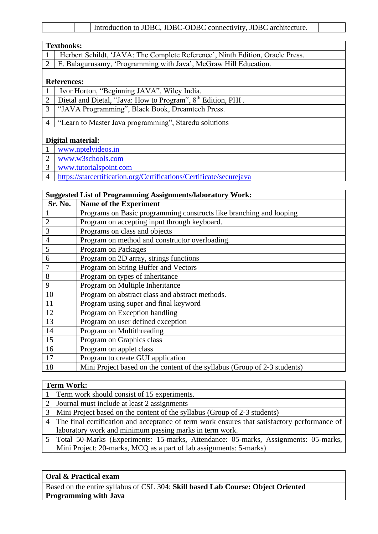|--|

| <b>Textbooks:</b>                                                                 |  |  |
|-----------------------------------------------------------------------------------|--|--|
| 1   Herbert Schildt, 'JAVA: The Complete Reference', Ninth Edition, Oracle Press. |  |  |
| [2] E. Balagurusamy, 'Programming with Java', McGraw Hill Education.              |  |  |
|                                                                                   |  |  |

## **References:**

|  | Ivor Horton, "Beginning JAVA", Wiley India. |  |  |  |
|--|---------------------------------------------|--|--|--|
|--|---------------------------------------------|--|--|--|

- 2 | Dietal and Dietal, "Java: How to Program",  $8<sup>th</sup>$  Edition, PHI.
- "JAVA Programming", Black Book, Dreamtech Press.
- "Learn to Master Java programming", Staredu solutions

#### **Digital material:**

- [www.nptelvideos.in](http://www.nptelvideos.in/)
- [www.w3schools.com](http://www.w3schools.com/)
- [www.tutorialspoint.com](http://www.tutorialspoint.com/)
- <https://starcertification.org/Certifications/Certificate/securejava>

| <b>Suggested List of Programming Assignments/laboratory Work:</b> |                                                                           |  |
|-------------------------------------------------------------------|---------------------------------------------------------------------------|--|
| Sr. No.                                                           | Name of the Experiment                                                    |  |
|                                                                   | Programs on Basic programming constructs like branching and looping       |  |
| $\overline{2}$                                                    | Program on accepting input through keyboard.                              |  |
| 3                                                                 | Programs on class and objects                                             |  |
| $\overline{4}$                                                    | Program on method and constructor overloading.                            |  |
| 5                                                                 | Program on Packages                                                       |  |
| 6                                                                 | Program on 2D array, strings functions                                    |  |
| 7                                                                 | Program on String Buffer and Vectors                                      |  |
| 8                                                                 | Program on types of inheritance                                           |  |
| 9                                                                 | Program on Multiple Inheritance                                           |  |
| 10                                                                | Program on abstract class and abstract methods.                           |  |
| 11                                                                | Program using super and final keyword                                     |  |
| 12                                                                | Program on Exception handling                                             |  |
| 13                                                                | Program on user defined exception                                         |  |
| 14                                                                | Program on Multithreading                                                 |  |
| 15                                                                | Program on Graphics class                                                 |  |
| 16                                                                | Program on applet class                                                   |  |
| 17                                                                | Program to create GUI application                                         |  |
| 18                                                                | Mini Project based on the content of the syllabus (Group of 2-3 students) |  |

## **Term Work:**

| 1 Term work should consist of 15 experiments.                                                  |
|------------------------------------------------------------------------------------------------|
| 2 Journal must include at least 2 assignments                                                  |
| 3   Mini Project based on the content of the syllabus (Group of 2-3 students)                  |
| 4 The final certification and acceptance of term work ensures that satisfactory performance of |
| laboratory work and minimum passing marks in term work.                                        |
| 5   Total 50-Marks (Experiments: 15-marks, Attendance: 05-marks, Assignments: 05-marks,        |
| Mini Project: 20-marks, MCQ as a part of lab assignments: 5-marks)                             |

#### **Oral & Practical exam**

Based on the entire syllabus of CSL 304: **Skill based Lab Course: Object Oriented Programming with Java**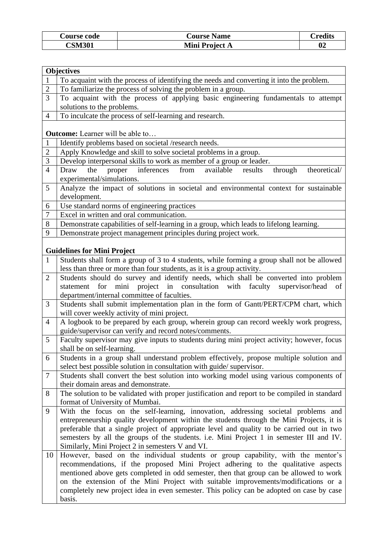| <b>Course code</b> | <b>Course Name</b> | `redits |
|--------------------|--------------------|---------|
| <b>CSM301</b>      | Mini Project A     | 02      |

|                | <b>Objectives</b>                                                                                                                                         |
|----------------|-----------------------------------------------------------------------------------------------------------------------------------------------------------|
| $\mathbf{1}$   | To acquaint with the process of identifying the needs and converting it into the problem.                                                                 |
| $\overline{2}$ | To familiarize the process of solving the problem in a group.                                                                                             |
| 3              | To acquaint with the process of applying basic engineering fundamentals to attempt                                                                        |
|                | solutions to the problems.                                                                                                                                |
| 4              | To inculcate the process of self-learning and research.                                                                                                   |
|                |                                                                                                                                                           |
|                | <b>Outcome:</b> Learner will be able to                                                                                                                   |
| $\mathbf{1}$   | Identify problems based on societal /research needs.                                                                                                      |
| $\overline{c}$ | Apply Knowledge and skill to solve societal problems in a group.                                                                                          |
| 3              | Develop interpersonal skills to work as member of a group or leader.                                                                                      |
| $\overline{4}$ | inferences<br>available<br>the<br>proper<br>from<br>through<br>theoretical/<br>Draw<br>results                                                            |
|                | experimental/simulations.                                                                                                                                 |
| 5              | Analyze the impact of solutions in societal and environmental context for sustainable                                                                     |
|                | development.                                                                                                                                              |
| 6<br>7         | Use standard norms of engineering practices<br>Excel in written and oral communication.                                                                   |
| 8              |                                                                                                                                                           |
| 9              | Demonstrate capabilities of self-learning in a group, which leads to lifelong learning.<br>Demonstrate project management principles during project work. |
|                |                                                                                                                                                           |
|                | <b>Guidelines for Mini Project</b>                                                                                                                        |
| $\mathbf{1}$   | Students shall form a group of 3 to 4 students, while forming a group shall not be allowed                                                                |
|                | less than three or more than four students, as it is a group activity.                                                                                    |
| $\overline{2}$ | Students should do survey and identify needs, which shall be converted into problem                                                                       |
|                | project in consultation with faculty<br>supervisor/head<br>statement<br>for<br>mini<br>of                                                                 |
|                | department/internal committee of faculties.                                                                                                               |
| 3              | Students shall submit implementation plan in the form of Gantt/PERT/CPM chart, which                                                                      |
|                | will cover weekly activity of mini project.                                                                                                               |
| $\overline{4}$ | A logbook to be prepared by each group, wherein group can record weekly work progress,                                                                    |
|                | guide/supervisor can verify and record notes/comments.                                                                                                    |
| 5              | Faculty supervisor may give inputs to students during mini project activity; however, focus                                                               |
|                | shall be on self-learning.                                                                                                                                |
| 6              | Students in a group shall understand problem effectively, propose multiple solution and                                                                   |
| 7              | select best possible solution in consultation with guide/supervisor.                                                                                      |
|                | Students shall convert the best solution into working model using various components of<br>their domain areas and demonstrate.                            |
| 8              | The solution to be validated with proper justification and report to be compiled in standard                                                              |
|                | format of University of Mumbai.                                                                                                                           |
| 9              | With the focus on the self-learning, innovation, addressing societal problems and                                                                         |
|                | entrepreneurship quality development within the students through the Mini Projects, it is                                                                 |
|                | preferable that a single project of appropriate level and quality to be carried out in two                                                                |
|                | semesters by all the groups of the students. i.e. Mini Project 1 in semester III and IV.                                                                  |
|                | Similarly, Mini Project 2 in semesters V and VI.                                                                                                          |
| 10             | However, based on the individual students or group capability, with the mentor's                                                                          |
|                | recommendations, if the proposed Mini Project adhering to the qualitative aspects                                                                         |
|                | mentioned above gets completed in odd semester, then that group can be allowed to work                                                                    |
|                | on the extension of the Mini Project with suitable improvements/modifications or a                                                                        |
|                | completely new project idea in even semester. This policy can be adopted on case by case                                                                  |
|                | basis.                                                                                                                                                    |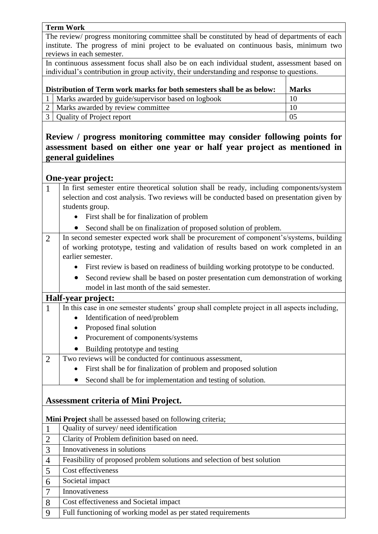#### **Term Work**

The review/ progress monitoring committee shall be constituted by head of departments of each institute. The progress of mini project to be evaluated on continuous basis, minimum two reviews in each semester.

In continuous assessment focus shall also be on each individual student, assessment based on individual's contribution in group activity, their understanding and response to questions.

| Distribution of Term work marks for both semesters shall be as below: |                                                        | <b>Marks</b> |
|-----------------------------------------------------------------------|--------------------------------------------------------|--------------|
|                                                                       | 1   Marks awarded by guide/supervisor based on logbook | 10           |
|                                                                       | 2   Marks awarded by review committee                  | 10           |
|                                                                       | 3   Quality of Project report                          | 05           |

## **Review / progress monitoring committee may consider following points for assessment based on either one year or half year project as mentioned in general guidelines**

## **One-year project:**

| $\mathbf{1}$   | In first semester entire theoretical solution shall be ready, including components/system      |  |
|----------------|------------------------------------------------------------------------------------------------|--|
|                | selection and cost analysis. Two reviews will be conducted based on presentation given by      |  |
|                | students group.                                                                                |  |
|                | First shall be for finalization of problem<br>$\bullet$                                        |  |
|                | Second shall be on finalization of proposed solution of problem.<br>$\bullet$                  |  |
| $\overline{2}$ | In second semester expected work shall be procurement of component's/systems, building         |  |
|                | of working prototype, testing and validation of results based on work completed in an          |  |
|                | earlier semester.                                                                              |  |
|                | First review is based on readiness of building working prototype to be conducted.<br>$\bullet$ |  |
|                | Second review shall be based on poster presentation cum demonstration of working<br>$\bullet$  |  |
|                | model in last month of the said semester.                                                      |  |
|                | Half-year project:                                                                             |  |
| 1              | In this case in one semester students' group shall complete project in all aspects including,  |  |
|                | Identification of need/problem                                                                 |  |
|                | Proposed final solution                                                                        |  |
|                | Procurement of components/systems                                                              |  |
|                | Building prototype and testing                                                                 |  |
| $\overline{2}$ | Two reviews will be conducted for continuous assessment,                                       |  |
|                | First shall be for finalization of problem and proposed solution                               |  |
|                | Second shall be for implementation and testing of solution.                                    |  |
|                |                                                                                                |  |
|                | <b>Assessment criteria of Mini Project.</b>                                                    |  |
|                |                                                                                                |  |
|                | Mini Project shall be assessed based on following criteria;                                    |  |
| $\mathbf{1}$   | Quality of survey/ need identification                                                         |  |
| $\overline{2}$ | Clarity of Problem definition based on need.                                                   |  |
| $\overline{3}$ | Innovativeness in solutions                                                                    |  |
| $\overline{4}$ | Feasibility of proposed problem solutions and selection of best solution                       |  |
| $\mathcal{L}$  | Cost effectiveness                                                                             |  |
| 6              | Societal impact                                                                                |  |
| 7              | Innovativeness                                                                                 |  |
| 8              | Cost effectiveness and Societal impact                                                         |  |
| 9              | Full functioning of working model as per stated requirements                                   |  |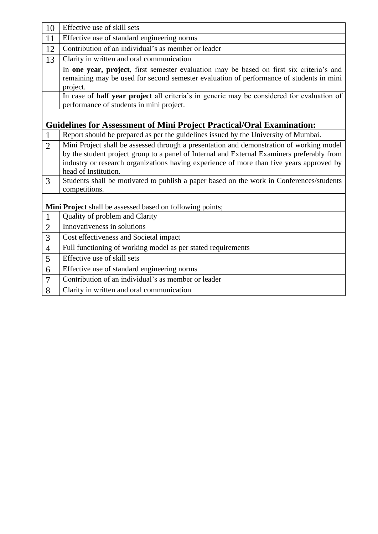| 10             | Effective use of skill sets                                                                                                                                                                                                                                                                                |
|----------------|------------------------------------------------------------------------------------------------------------------------------------------------------------------------------------------------------------------------------------------------------------------------------------------------------------|
| 11             | Effective use of standard engineering norms                                                                                                                                                                                                                                                                |
| 12             | Contribution of an individual's as member or leader                                                                                                                                                                                                                                                        |
| 13             | Clarity in written and oral communication                                                                                                                                                                                                                                                                  |
|                | In one year, project, first semester evaluation may be based on first six criteria's and<br>remaining may be used for second semester evaluation of performance of students in mini<br>project.                                                                                                            |
|                | In case of half year project all criteria's in generic may be considered for evaluation of<br>performance of students in mini project.                                                                                                                                                                     |
|                | <b>Guidelines for Assessment of Mini Project Practical/Oral Examination:</b>                                                                                                                                                                                                                               |
|                | Report should be prepared as per the guidelines issued by the University of Mumbai.                                                                                                                                                                                                                        |
| $\overline{2}$ | Mini Project shall be assessed through a presentation and demonstration of working model<br>by the student project group to a panel of Internal and External Examiners preferably from<br>industry or research organizations having experience of more than five years approved by<br>head of Institution. |
| 3              | Students shall be motivated to publish a paper based on the work in Conferences/students<br>competitions.                                                                                                                                                                                                  |
|                | Mini Project shall be assessed based on following points;                                                                                                                                                                                                                                                  |
| $\mathbf{1}$   | Quality of problem and Clarity                                                                                                                                                                                                                                                                             |
| 2              | Innovativeness in solutions                                                                                                                                                                                                                                                                                |
| 3              | Cost effectiveness and Societal impact                                                                                                                                                                                                                                                                     |
| $\overline{4}$ | Full functioning of working model as per stated requirements                                                                                                                                                                                                                                               |
| 5              | Effective use of skill sets                                                                                                                                                                                                                                                                                |
| 6              | Effective use of standard engineering norms                                                                                                                                                                                                                                                                |
| $\overline{7}$ | Contribution of an individual's as member or leader                                                                                                                                                                                                                                                        |
| 8              | Clarity in written and oral communication                                                                                                                                                                                                                                                                  |
|                |                                                                                                                                                                                                                                                                                                            |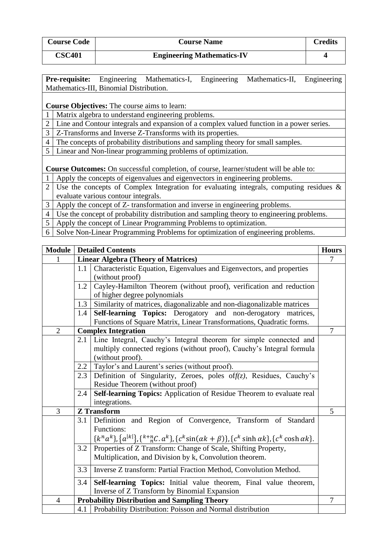| <b>Course Code</b> | <b>Course Name</b>                | Credits |
|--------------------|-----------------------------------|---------|
| <b>CSC401</b>      | <b>Engineering Mathematics-IV</b> |         |

|                                         |  | <b>Pre-requisite:</b> Engineering Mathematics-I, Engineering Mathematics-II, Engineering |  |
|-----------------------------------------|--|------------------------------------------------------------------------------------------|--|
| Mathematics-III, Binomial Distribution. |  |                                                                                          |  |

**Course Objectives:** The course aims to learn:

1 Matrix algebra to understand engineering problems.

2 Line and Contour integrals and expansion of a complex valued function in a power series.

3 | Z-Transforms and Inverse Z-Transforms with its properties.

- 4 The concepts of probability distributions and sampling theory for small samples.
- 5 Linear and Non-linear programming problems of optimization.

**Course Outcomes:** On successful completion, of course, learner/student will be able to:

1 Apply the concepts of eigenvalues and eigenvectors in engineering problems.

2 Use the concepts of Complex Integration for evaluating integrals, computing residues & evaluate various contour integrals.

3 Apply the concept of Z- transformation and inverse in engineering problems.

4 Use the concept of probability distribution and sampling theory to engineering problems.

5 Apply the concept of Linear Programming Problems to optimization.

6 Solve Non-Linear Programming Problems for optimization of engineering problems.

|                |                                                                                                                                                                       | <b>Module   Detailed Contents</b><br><b>Hours</b>                                                                                                                                                 |                |  |  |  |  |  |
|----------------|-----------------------------------------------------------------------------------------------------------------------------------------------------------------------|---------------------------------------------------------------------------------------------------------------------------------------------------------------------------------------------------|----------------|--|--|--|--|--|
|                |                                                                                                                                                                       | <b>Linear Algebra (Theory of Matrices)</b>                                                                                                                                                        | 7              |  |  |  |  |  |
|                | 1.1                                                                                                                                                                   | Characteristic Equation, Eigenvalues and Eigenvectors, and properties<br>(without proof)                                                                                                          |                |  |  |  |  |  |
|                | 1.2                                                                                                                                                                   | Cayley-Hamilton Theorem (without proof), verification and reduction                                                                                                                               |                |  |  |  |  |  |
|                | of higher degree polynomials                                                                                                                                          |                                                                                                                                                                                                   |                |  |  |  |  |  |
|                | Similarity of matrices, diagonalizable and non-diagonalizable matrices<br>1.3                                                                                         |                                                                                                                                                                                                   |                |  |  |  |  |  |
|                | 1.4                                                                                                                                                                   | Self-learning Topics: Derogatory and non-derogatory matrices,<br>Functions of Square Matrix, Linear Transformations, Quadratic forms.                                                             |                |  |  |  |  |  |
| $\mathbf{2}$   |                                                                                                                                                                       | <b>Complex Integration</b>                                                                                                                                                                        | $\overline{7}$ |  |  |  |  |  |
|                | Line Integral, Cauchy's Integral theorem for simple connected and<br>2.1<br>multiply connected regions (without proof), Cauchy's Integral formula<br>(without proof). |                                                                                                                                                                                                   |                |  |  |  |  |  |
|                | 2.2                                                                                                                                                                   | Taylor's and Laurent's series (without proof).                                                                                                                                                    |                |  |  |  |  |  |
|                | Definition of Singularity, Zeroes, poles of $f(z)$ , Residues, Cauchy's<br>2.3<br>Residue Theorem (without proof)                                                     |                                                                                                                                                                                                   |                |  |  |  |  |  |
|                | 2.4                                                                                                                                                                   | Self-learning Topics: Application of Residue Theorem to evaluate real<br>integrations.                                                                                                            |                |  |  |  |  |  |
| 3              |                                                                                                                                                                       | <b>Z</b> Transform                                                                                                                                                                                | 5              |  |  |  |  |  |
|                | 3.1                                                                                                                                                                   | Definition and Region of Convergence, Transform of Standard<br>Functions:<br>${k^n a^k}, {a^{ k }}, {k^* n_c^n . a^k}, {c^k \sin(\alpha k + \beta)}, {c^k \sinh \alpha k}, {c^k \cosh \alpha k}.$ |                |  |  |  |  |  |
|                | Properties of Z Transform: Change of Scale, Shifting Property,<br>3.2<br>Multiplication, and Division by k, Convolution theorem.                                      |                                                                                                                                                                                                   |                |  |  |  |  |  |
|                | Inverse Z transform: Partial Fraction Method, Convolution Method.<br>3.3                                                                                              |                                                                                                                                                                                                   |                |  |  |  |  |  |
|                | 3.4                                                                                                                                                                   | Self-learning Topics: Initial value theorem, Final value theorem,<br>Inverse of Z Transform by Binomial Expansion                                                                                 |                |  |  |  |  |  |
| $\overline{4}$ |                                                                                                                                                                       | <b>Probability Distribution and Sampling Theory</b>                                                                                                                                               | $\overline{7}$ |  |  |  |  |  |
|                |                                                                                                                                                                       | 4.1   Probability Distribution: Poisson and Normal distribution                                                                                                                                   |                |  |  |  |  |  |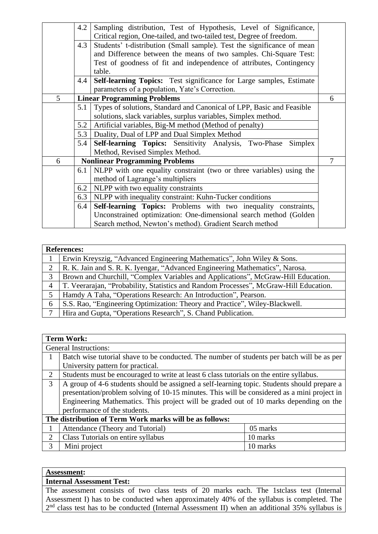| 4.2                                       | Sampling distribution, Test of Hypothesis, Level of Significance,          |                                                                                    |  |  |  |  |  |  |
|-------------------------------------------|----------------------------------------------------------------------------|------------------------------------------------------------------------------------|--|--|--|--|--|--|
|                                           | Critical region, One-tailed, and two-tailed test, Degree of freedom.       |                                                                                    |  |  |  |  |  |  |
| 4.3                                       | Students' t-distribution (Small sample). Test the significance of mean     |                                                                                    |  |  |  |  |  |  |
|                                           | and Difference between the means of two samples. Chi-Square Test:          |                                                                                    |  |  |  |  |  |  |
|                                           | Test of goodness of fit and independence of attributes, Contingency        |                                                                                    |  |  |  |  |  |  |
| table.                                    |                                                                            |                                                                                    |  |  |  |  |  |  |
|                                           | <b>Self-learning Topics:</b> Test significance for Large samples, Estimate |                                                                                    |  |  |  |  |  |  |
|                                           | parameters of a population, Yate's Correction.                             |                                                                                    |  |  |  |  |  |  |
|                                           |                                                                            | 6                                                                                  |  |  |  |  |  |  |
| 5.1                                       | Types of solutions, Standard and Canonical of LPP, Basic and Feasible      |                                                                                    |  |  |  |  |  |  |
|                                           | solutions, slack variables, surplus variables, Simplex method.             |                                                                                    |  |  |  |  |  |  |
| 5.2                                       | Artificial variables, Big-M method (Method of penalty)                     |                                                                                    |  |  |  |  |  |  |
| 5.3                                       | Duality, Dual of LPP and Dual Simplex Method                               |                                                                                    |  |  |  |  |  |  |
| 5.4                                       | Self-learning Topics: Sensitivity Analysis, Two-Phase<br>Simplex           |                                                                                    |  |  |  |  |  |  |
|                                           | Method, Revised Simplex Method.                                            |                                                                                    |  |  |  |  |  |  |
|                                           |                                                                            | 7                                                                                  |  |  |  |  |  |  |
| 6.1                                       | NLPP with one equality constraint (two or three variables) using the       |                                                                                    |  |  |  |  |  |  |
|                                           | method of Lagrange's multipliers                                           |                                                                                    |  |  |  |  |  |  |
| NLPP with two equality constraints<br>6.2 |                                                                            |                                                                                    |  |  |  |  |  |  |
| 6.3                                       | NLPP with inequality constraint: Kuhn-Tucker conditions                    |                                                                                    |  |  |  |  |  |  |
| 6.4                                       | Self-learning Topics: Problems with two inequality constraints,            |                                                                                    |  |  |  |  |  |  |
|                                           | Unconstrained optimization: One-dimensional search method (Golden          |                                                                                    |  |  |  |  |  |  |
|                                           | Search method, Newton's method). Gradient Search method                    |                                                                                    |  |  |  |  |  |  |
|                                           |                                                                            | 4.4<br><b>Linear Programming Problems</b><br><b>Nonlinear Programming Problems</b> |  |  |  |  |  |  |

|   | <b>References:</b>                                                                    |  |  |  |
|---|---------------------------------------------------------------------------------------|--|--|--|
|   | Erwin Kreyszig, "Advanced Engineering Mathematics", John Wiley & Sons.                |  |  |  |
| 2 | R. K. Jain and S. R. K. Iyengar, "Advanced Engineering Mathematics", Narosa.          |  |  |  |
| 3 | Brown and Churchill, "Complex Variables and Applications", McGraw-Hill Education.     |  |  |  |
| 4 | T. Veerarajan, "Probability, Statistics and Random Processes", McGraw-Hill Education. |  |  |  |
|   | Hamdy A Taha, "Operations Research: An Introduction", Pearson.                        |  |  |  |
| 6 | S.S. Rao, "Engineering Optimization: Theory and Practice", Wiley-Blackwell.           |  |  |  |
|   | Hira and Gupta, "Operations Research", S. Chand Publication.                          |  |  |  |

## **Term Work:**

|   | <b>General Instructions:</b>                                                                |          |  |  |  |
|---|---------------------------------------------------------------------------------------------|----------|--|--|--|
|   | Batch wise tutorial shave to be conducted. The number of students per batch will be as per  |          |  |  |  |
|   | University pattern for practical.                                                           |          |  |  |  |
| 2 | Students must be encouraged to write at least 6 class tutorials on the entire syllabus.     |          |  |  |  |
| 3 | A group of 4-6 students should be assigned a self-learning topic. Students should prepare a |          |  |  |  |
|   | presentation/problem solving of 10-15 minutes. This will be considered as a mini project in |          |  |  |  |
|   | Engineering Mathematics. This project will be graded out of 10 marks depending on the       |          |  |  |  |
|   | performance of the students.                                                                |          |  |  |  |
|   | The distribution of Term Work marks will be as follows:                                     |          |  |  |  |
|   | Attendance (Theory and Tutorial)<br>05 marks                                                |          |  |  |  |
| 2 | Class Tutorials on entire syllabus                                                          | 10 marks |  |  |  |
| 3 | Mini project                                                                                | 10 marks |  |  |  |

#### **Assessment:**

#### **Internal Assessment Test:**

The assessment consists of two class tests of 20 marks each. The 1stclass test (Internal Assessment I) has to be conducted when approximately 40% of the syllabus is completed. The  $2<sup>nd</sup>$  class test has to be conducted (Internal Assessment II) when an additional 35% syllabus is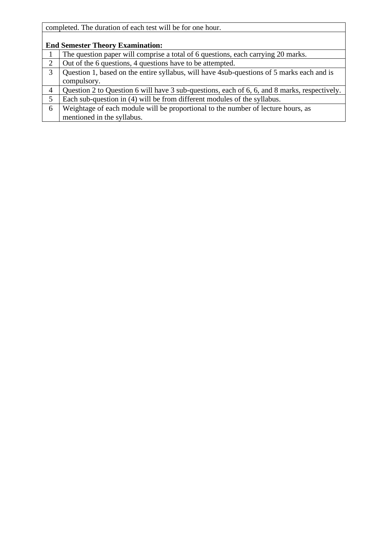| completed. The duration of each test will be for one hour. |  |  |  |  |  |
|------------------------------------------------------------|--|--|--|--|--|
|                                                            |  |  |  |  |  |

|                | <b>End Semester Theory Examination:</b>                                                      |  |  |  |  |  |
|----------------|----------------------------------------------------------------------------------------------|--|--|--|--|--|
|                | The question paper will comprise a total of 6 questions, each carrying 20 marks.             |  |  |  |  |  |
| $\overline{2}$ | Out of the 6 questions, 4 questions have to be attempted.                                    |  |  |  |  |  |
| 3              | Question 1, based on the entire syllabus, will have 4 sub-questions of 5 marks each and is   |  |  |  |  |  |
|                | compulsory.                                                                                  |  |  |  |  |  |
| 4              | Question 2 to Question 6 will have 3 sub-questions, each of 6, 6, and 8 marks, respectively. |  |  |  |  |  |
|                | Each sub-question in (4) will be from different modules of the syllabus.                     |  |  |  |  |  |
| 6              | Weightage of each module will be proportional to the number of lecture hours, as             |  |  |  |  |  |
|                | mentioned in the syllabus.                                                                   |  |  |  |  |  |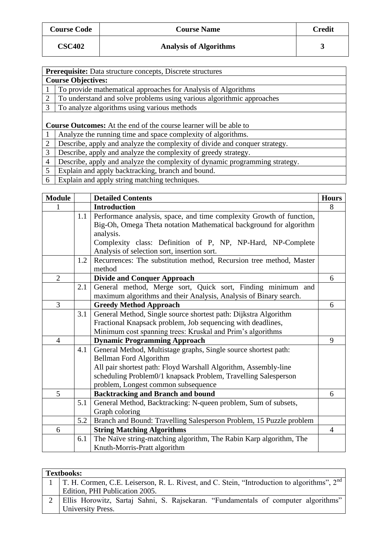| <b>Course Code</b> | <b>Course Name</b>            | <b>Credit</b> |
|--------------------|-------------------------------|---------------|
| <b>CSC402</b>      | <b>Analysis of Algorithms</b> |               |

|                | Prerequisite: Data structure concepts, Discrete structures                  |
|----------------|-----------------------------------------------------------------------------|
|                | <b>Course Objectives:</b>                                                   |
| $\mathbf{1}$   | To provide mathematical approaches for Analysis of Algorithms               |
| 2              | To understand and solve problems using various algorithmic approaches       |
| 3              | To analyze algorithms using various methods                                 |
|                |                                                                             |
|                | <b>Course Outcomes:</b> At the end of the course learner will be able to    |
|                | Analyze the running time and space complexity of algorithms.                |
| 2              | Describe, apply and analyze the complexity of divide and conquer strategy.  |
| 3              | Describe, apply and analyze the complexity of greedy strategy.              |
| $\overline{4}$ | Describe, apply and analyze the complexity of dynamic programming strategy. |
| $5^{\circ}$    | Explain and apply backtracking, branch and bound.                           |
|                |                                                                             |

6 Explain and apply string matching techniques.

| <b>Module</b>  |     | <b>Detailed Contents</b>                                             | <b>Hours</b>   |  |  |
|----------------|-----|----------------------------------------------------------------------|----------------|--|--|
|                |     | <b>Introduction</b>                                                  | 8              |  |  |
|                | 1.1 | Performance analysis, space, and time complexity Growth of function, |                |  |  |
|                |     | Big-Oh, Omega Theta notation Mathematical background for algorithm   |                |  |  |
|                |     | analysis.                                                            |                |  |  |
|                |     | Complexity class: Definition of P, NP, NP-Hard, NP-Complete          |                |  |  |
|                |     | Analysis of selection sort, insertion sort.                          |                |  |  |
|                | 1.2 | Recurrences: The substitution method, Recursion tree method, Master  |                |  |  |
|                |     | method                                                               |                |  |  |
| $\overline{2}$ |     | <b>Divide and Conquer Approach</b>                                   | 6              |  |  |
|                | 2.1 | General method, Merge sort, Quick sort, Finding minimum and          |                |  |  |
|                |     | maximum algorithms and their Analysis, Analysis of Binary search.    |                |  |  |
| 3              |     | <b>Greedy Method Approach</b>                                        | 6              |  |  |
|                | 3.1 | General Method, Single source shortest path: Dijkstra Algorithm      |                |  |  |
|                |     | Fractional Knapsack problem, Job sequencing with deadlines,          |                |  |  |
|                |     | Minimum cost spanning trees: Kruskal and Prim's algorithms           |                |  |  |
| $\overline{4}$ |     | <b>Dynamic Programming Approach</b>                                  | 9              |  |  |
|                | 4.1 | General Method, Multistage graphs, Single source shortest path:      |                |  |  |
|                |     | <b>Bellman Ford Algorithm</b>                                        |                |  |  |
|                |     | All pair shortest path: Floyd Warshall Algorithm, Assembly-line      |                |  |  |
|                |     | scheduling Problem0/1 knapsack Problem, Travelling Salesperson       |                |  |  |
|                |     | problem, Longest common subsequence                                  |                |  |  |
| 5              |     | <b>Backtracking and Branch and bound</b>                             | 6              |  |  |
|                | 5.1 | General Method, Backtracking: N-queen problem, Sum of subsets,       |                |  |  |
|                |     | Graph coloring                                                       |                |  |  |
|                | 5.2 | Branch and Bound: Travelling Salesperson Problem, 15 Puzzle problem  |                |  |  |
| 6              |     | <b>String Matching Algorithms</b>                                    | $\overline{4}$ |  |  |
|                | 6.1 | The Naïve string-matching algorithm, The Rabin Karp algorithm, The   |                |  |  |
|                |     | Knuth-Morris-Pratt algorithm                                         |                |  |  |

| <b>Textbooks:</b>                                                                                           |
|-------------------------------------------------------------------------------------------------------------|
| 1   T. H. Cormen, C.E. Leiserson, R. L. Rivest, and C. Stein, "Introduction to algorithms", 2 <sup>nd</sup> |
| Edition, PHI Publication 2005.                                                                              |
| Ellis Horowitz, Sartaj Sahni, S. Rajsekaran. "Fundamentals of computer algorithms"                          |
| University Press.                                                                                           |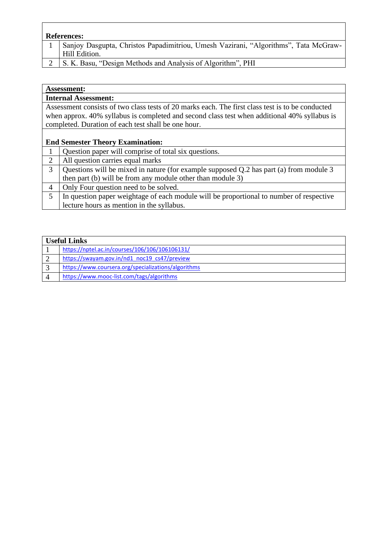| <b>References:</b>                                                                  |
|-------------------------------------------------------------------------------------|
| Sanjoy Dasgupta, Christos Papadimitriou, Umesh Vazirani, "Algorithms", Tata McGraw- |
| Hill Edition.                                                                       |
| $\overline{S}$ K Rasu "Design Methods and Analysis of Algorithm" DHI                |

| 2 S. K. Basu, "Design Methods and Analysis of Algorithm", PHI |
|---------------------------------------------------------------|
|---------------------------------------------------------------|

| <b>Assessment:</b>                                                                               |  |  |
|--------------------------------------------------------------------------------------------------|--|--|
| <b>Internal Assessment:</b>                                                                      |  |  |
| Assessment consists of two class tests of 20 marks each. The first class test is to be conducted |  |  |
| when approx. 40% syllabus is completed and second class test when additional 40% syllabus is     |  |  |
| completed. Duration of each test shall be one hour.                                              |  |  |
|                                                                                                  |  |  |
| <b>End Semester Theory Examination:</b>                                                          |  |  |
| Question paper will comprise of total six questions.<br>1                                        |  |  |
| 2<br>All question carries equal marks                                                            |  |  |
| 3<br>Questions will be mixed in nature (for example supposed Q.2 has part (a) from module 3      |  |  |
| then part (b) will be from any module other than module 3)                                       |  |  |
| Only Four question need to be solved.<br>$\overline{A}$                                          |  |  |
| 5<br>In question paper weightage of each module will be proportional to number of respective     |  |  |
| lecture hours as mention in the syllabus.                                                        |  |  |

| <b>Useful Links</b>                                 |  |
|-----------------------------------------------------|--|
| https://nptel.ac.in/courses/106/106/106106131/      |  |
| https://swayam.gov.in/nd1 noc19 cs47/preview        |  |
| https://www.coursera.org/specializations/algorithms |  |
| https://www.mooc-list.com/tags/algorithms           |  |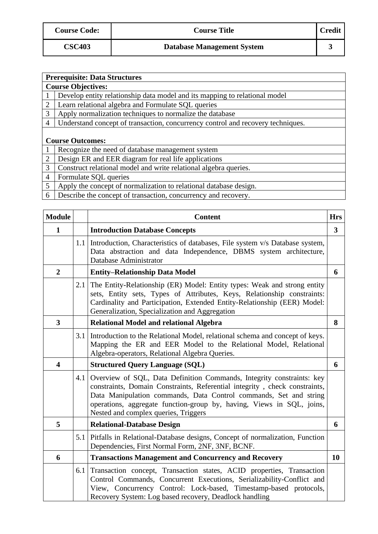| <b>Course Code:</b> | <b>Course Title</b>               | <b>Credit</b> |
|---------------------|-----------------------------------|---------------|
| <b>CSC403</b>       | <b>Database Management System</b> |               |

|                 | <b>Prerequisite: Data Structures</b>                                            |  |  |
|-----------------|---------------------------------------------------------------------------------|--|--|
|                 | <b>Course Objectives:</b>                                                       |  |  |
|                 | Develop entity relationship data model and its mapping to relational model      |  |  |
| 2               | Learn relational algebra and Formulate SQL queries                              |  |  |
| 3               | Apply normalization techniques to normalize the database                        |  |  |
| $\overline{A}$  | Understand concept of transaction, concurrency control and recovery techniques. |  |  |
|                 |                                                                                 |  |  |
|                 | <b>Course Outcomes:</b>                                                         |  |  |
|                 | Recognize the need of database management system                                |  |  |
| 2               | Design ER and EER diagram for real life applications                            |  |  |
| 3               | Construct relational model and write relational algebra queries.                |  |  |
| $\overline{4}$  | Formulate SQL queries                                                           |  |  |
| $5\overline{)}$ | Apply the concept of normalization to relational database design.               |  |  |
| 6               | Describe the concept of transaction, concurrency and recovery.                  |  |  |

| <b>Module</b>           |                                                                                                                                                                                                                                                                                          | <b>Content</b><br><b>Hrs</b>                                                                                                                                                                                                                                                                                                              |              |  |  |
|-------------------------|------------------------------------------------------------------------------------------------------------------------------------------------------------------------------------------------------------------------------------------------------------------------------------------|-------------------------------------------------------------------------------------------------------------------------------------------------------------------------------------------------------------------------------------------------------------------------------------------------------------------------------------------|--------------|--|--|
| $\mathbf{1}$            |                                                                                                                                                                                                                                                                                          | <b>Introduction Database Concepts</b>                                                                                                                                                                                                                                                                                                     | $\mathbf{3}$ |  |  |
|                         | 1.1                                                                                                                                                                                                                                                                                      | Introduction, Characteristics of databases, File system v/s Database system,<br>Data abstraction and data Independence, DBMS system architecture,<br>Database Administrator                                                                                                                                                               |              |  |  |
| $\overline{2}$          |                                                                                                                                                                                                                                                                                          | <b>Entity-Relationship Data Model</b>                                                                                                                                                                                                                                                                                                     | 6            |  |  |
|                         | The Entity-Relationship (ER) Model: Entity types: Weak and strong entity<br>2.1<br>sets, Entity sets, Types of Attributes, Keys, Relationship constraints:<br>Cardinality and Participation, Extended Entity-Relationship (EER) Model:<br>Generalization, Specialization and Aggregation |                                                                                                                                                                                                                                                                                                                                           |              |  |  |
| $\overline{\mathbf{3}}$ |                                                                                                                                                                                                                                                                                          | <b>Relational Model and relational Algebra</b>                                                                                                                                                                                                                                                                                            | 8            |  |  |
|                         |                                                                                                                                                                                                                                                                                          | 3.1 Introduction to the Relational Model, relational schema and concept of keys.<br>Mapping the ER and EER Model to the Relational Model, Relational<br>Algebra-operators, Relational Algebra Queries.                                                                                                                                    |              |  |  |
| $\overline{\mathbf{4}}$ |                                                                                                                                                                                                                                                                                          | <b>Structured Query Language (SQL)</b>                                                                                                                                                                                                                                                                                                    | 6            |  |  |
|                         | 4.1                                                                                                                                                                                                                                                                                      | Overview of SQL, Data Definition Commands, Integrity constraints: key<br>constraints, Domain Constraints, Referential integrity, check constraints,<br>Data Manipulation commands, Data Control commands, Set and string<br>operations, aggregate function-group by, having, Views in SQL, joins,<br>Nested and complex queries, Triggers |              |  |  |
| 5                       |                                                                                                                                                                                                                                                                                          | <b>Relational-Database Design</b>                                                                                                                                                                                                                                                                                                         | 6            |  |  |
|                         |                                                                                                                                                                                                                                                                                          | 5.1 Pitfalls in Relational-Database designs, Concept of normalization, Function<br>Dependencies, First Normal Form, 2NF, 3NF, BCNF.                                                                                                                                                                                                       |              |  |  |
| 6                       |                                                                                                                                                                                                                                                                                          | <b>Transactions Management and Concurrency and Recovery</b>                                                                                                                                                                                                                                                                               | 10           |  |  |
|                         | 6.1                                                                                                                                                                                                                                                                                      | Transaction concept, Transaction states, ACID properties, Transaction<br>Control Commands, Concurrent Executions, Serializability-Conflict and<br>View, Concurrency Control: Lock-based, Timestamp-based protocols,<br>Recovery System: Log based recovery, Deadlock handling                                                             |              |  |  |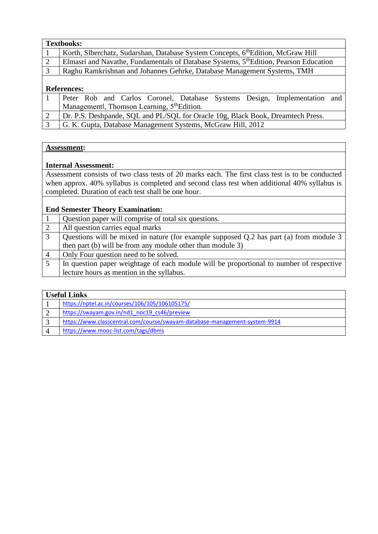|                | <b>Textbooks:</b>                                                                                 |  |  |  |
|----------------|---------------------------------------------------------------------------------------------------|--|--|--|
|                | Korth, Slberchatz, Sudarshan, Database System Concepts, 6th Edition, McGraw Hill                  |  |  |  |
| $\sqrt{2}$     | Elmasri and Navathe, Fundamentals of Database Systems, 5 <sup>th</sup> Edition, Pearson Education |  |  |  |
| $\overline{3}$ | Raghu Ramkrishnan and Johannes Gehrke, Database Management Systems, TMH                           |  |  |  |
|                |                                                                                                   |  |  |  |
|                | <b>References:</b>                                                                                |  |  |  |
|                | Peter Rob and Carlos Coronel, Database Systems Design, Implementation and                         |  |  |  |
|                | Managementl, Thomson Learning, 5 <sup>th</sup> Edition.                                           |  |  |  |
|                |                                                                                                   |  |  |  |

|  |  |  |  |  | Dr. P.S. Deshpande, SQL and PL/SQL for Oracle 10g, Black Book, Dreamtech Press. |
|--|--|--|--|--|---------------------------------------------------------------------------------|
|--|--|--|--|--|---------------------------------------------------------------------------------|

3 G. K. Gupta, Database Management Systems, McGraw Hill, 2012

#### **Assessment:**

#### **Internal Assessment:**

Assessment consists of two class tests of 20 marks each. The first class test is to be conducted when approx. 40% syllabus is completed and second class test when additional 40% syllabus is completed. Duration of each test shall be one hour.

#### **End Semester Theory Examination:**

|   | Question paper will comprise of total six questions.                                    |
|---|-----------------------------------------------------------------------------------------|
|   | All question carries equal marks                                                        |
|   | Questions will be mixed in nature (for example supposed Q.2 has part (a) from module 3  |
|   | then part (b) will be from any module other than module 3)                              |
| 4 | Only Four question need to be solved.                                                   |
|   | In question paper weightage of each module will be proportional to number of respective |
|   | lecture hours as mention in the syllabus.                                               |

## **Useful Links**

| https://nptel.ac.in/courses/106/105/106105175/                             |  |  |
|----------------------------------------------------------------------------|--|--|
| https://swayam.gov.in/nd1 noc19 cs46/preview                               |  |  |
| https://www.classcentral.com/course/swayam-database-management-system-9914 |  |  |
| https://www.mooc-list.com/tags/dbms                                        |  |  |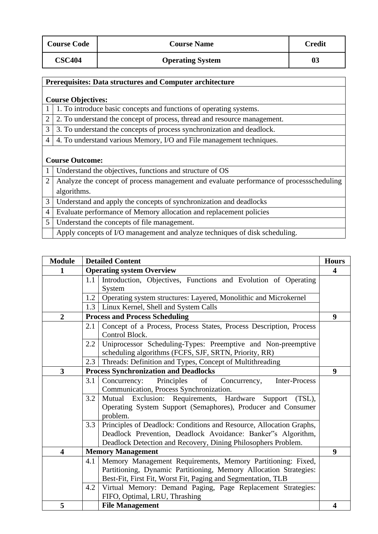| <b>Course Code</b> | <b>Course Name</b>      | Credit |
|--------------------|-------------------------|--------|
| <b>CSC404</b>      | <b>Operating System</b> | 03     |

|                | Prerequisites: Data structures and Computer architecture                                |
|----------------|-----------------------------------------------------------------------------------------|
|                |                                                                                         |
|                | <b>Course Objectives:</b>                                                               |
|                | 1. To introduce basic concepts and functions of operating systems.                      |
| $\overline{2}$ | 2. To understand the concept of process, thread and resource management.                |
| 3              | 3. To understand the concepts of process synchronization and deadlock.                  |
| $\overline{4}$ | 4. To understand various Memory, I/O and File management techniques.                    |
|                |                                                                                         |
|                | <b>Course Outcome:</b>                                                                  |
|                | Understand the objectives, functions and structure of OS                                |
| $\overline{2}$ | Analyze the concept of process management and evaluate performance of processscheduling |
|                | algorithms.                                                                             |
| 3              | Understand and apply the concepts of synchronization and deadlocks                      |
| $\overline{4}$ | Evaluate performance of Memory allocation and replacement policies                      |
| 5              | Understand the concepts of file management.                                             |
|                | Apply concepts of I/O management and analyze techniques of disk scheduling.             |

| <b>Module</b>           | <b>Detailed Content</b><br><b>Hours</b>                                    |                                                                    |                  |  |
|-------------------------|----------------------------------------------------------------------------|--------------------------------------------------------------------|------------------|--|
| 1                       | <b>Operating system Overview</b>                                           |                                                                    |                  |  |
|                         | 1.1                                                                        | Introduction, Objectives, Functions and Evolution of Operating     |                  |  |
|                         |                                                                            | System                                                             |                  |  |
|                         | 1.2                                                                        | Operating system structures: Layered, Monolithic and Microkernel   |                  |  |
|                         | 1.3                                                                        | Linux Kernel, Shell and System Calls                               |                  |  |
| $\overline{2}$          |                                                                            | <b>Process and Process Scheduling</b>                              | $\boldsymbol{9}$ |  |
|                         | 2.1                                                                        | Concept of a Process, Process States, Process Description, Process |                  |  |
|                         |                                                                            | Control Block.                                                     |                  |  |
|                         | 2.2                                                                        | Uniprocessor Scheduling-Types: Preemptive and Non-preemptive       |                  |  |
|                         |                                                                            | scheduling algorithms (FCFS, SJF, SRTN, Priority, RR)              |                  |  |
|                         | 2.3                                                                        | Threads: Definition and Types, Concept of Multithreading           |                  |  |
| 3                       |                                                                            | <b>Process Synchronization and Deadlocks</b>                       | 9                |  |
|                         | 3.1                                                                        | Principles of<br>Concurrency:<br>Inter-Process<br>Concurrency,     |                  |  |
|                         |                                                                            | Communication, Process Synchronization.                            |                  |  |
|                         | 3.2                                                                        | Mutual Exclusion: Requirements, Hardware<br>Support<br>$(TSL)$ ,   |                  |  |
|                         |                                                                            | Operating System Support (Semaphores), Producer and Consumer       |                  |  |
|                         | problem.                                                                   |                                                                    |                  |  |
|                         | Principles of Deadlock: Conditions and Resource, Allocation Graphs,<br>3.3 |                                                                    |                  |  |
|                         | Deadlock Prevention, Deadlock Avoidance: Banker"s Algorithm,               |                                                                    |                  |  |
|                         |                                                                            | Deadlock Detection and Recovery, Dining Philosophers Problem.      |                  |  |
| $\overline{\mathbf{4}}$ |                                                                            | <b>Memory Management</b>                                           | $\boldsymbol{9}$ |  |
|                         | 4.1                                                                        | Memory Management Requirements, Memory Partitioning: Fixed,        |                  |  |
|                         |                                                                            | Partitioning, Dynamic Partitioning, Memory Allocation Strategies:  |                  |  |
|                         |                                                                            | Best-Fit, First Fit, Worst Fit, Paging and Segmentation, TLB       |                  |  |
|                         | 4.2                                                                        | Virtual Memory: Demand Paging, Page Replacement Strategies:        |                  |  |
|                         |                                                                            | FIFO, Optimal, LRU, Thrashing                                      |                  |  |
| 5                       |                                                                            | <b>File Management</b>                                             | 4                |  |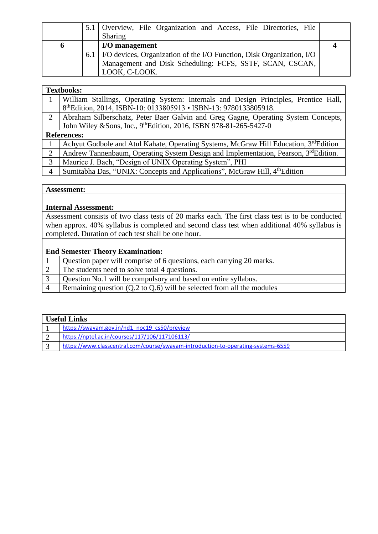|   | 5.1 Overview, File Organization and Access, File Directories, File          |  |
|---|-----------------------------------------------------------------------------|--|
|   | Sharing                                                                     |  |
| O | I/O management                                                              |  |
|   | 6.1   I/O devices, Organization of the I/O Function, Disk Organization, I/O |  |
|   | Management and Disk Scheduling: FCFS, SSTF, SCAN, CSCAN,                    |  |
|   | LOOK, C-LOOK.                                                               |  |

|                | <b>Textbooks:</b>                                                                                 |
|----------------|---------------------------------------------------------------------------------------------------|
|                | William Stallings, Operating System: Internals and Design Principles, Prentice Hall,              |
|                | 8thEdition, 2014, ISBN-10: 0133805913 • ISBN-13: 9780133805918.                                   |
| 2              | Abraham Silberschatz, Peter Baer Galvin and Greg Gagne, Operating System Concepts,                |
|                | John Wiley & Sons, Inc., 9th Edition, 2016, ISBN 978-81-265-5427-0                                |
|                | <b>References:</b>                                                                                |
|                | Achyut Godbole and Atul Kahate, Operating Systems, McGraw Hill Education, 3 <sup>rd</sup> Edition |
| $\overline{2}$ | Andrew Tannenbaum, Operating System Design and Implementation, Pearson, 3rdEdition.               |
| 3              | Maurice J. Bach, "Design of UNIX Operating System", PHI                                           |
| $\overline{4}$ | Sumitabha Das, "UNIX: Concepts and Applications", McGraw Hill, 4th Edition                        |

#### **Internal Assessment:**

Assessment consists of two class tests of 20 marks each. The first class test is to be conducted when approx. 40% syllabus is completed and second class test when additional 40% syllabus is completed. Duration of each test shall be one hour.

|  |  |  |  |  |  | Question paper will comprise of 6 questions, each carrying 20 marks. |
|--|--|--|--|--|--|----------------------------------------------------------------------|
|--|--|--|--|--|--|----------------------------------------------------------------------|

- 2 The students need to solve total 4 questions.
- 3 Question No.1 will be compulsory and based on entire syllabus.
- 4 Remaining question (Q.2 to Q.6) will be selected from all the modules

| <b>Useful Links</b> |                                                                                   |  |
|---------------------|-----------------------------------------------------------------------------------|--|
|                     | https://swayam.gov.in/nd1 noc19 cs50/preview                                      |  |
|                     | https://nptel.ac.in/courses/117/106/117106113/                                    |  |
|                     | https://www.classcentral.com/course/swayam-introduction-to-operating-systems-6559 |  |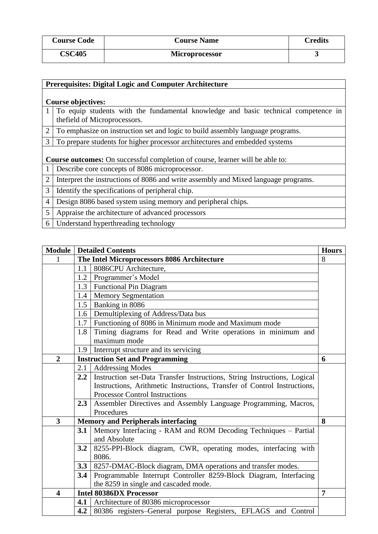| <b>Course Code</b> | <b>Course Name</b> | <b>Credits</b> |
|--------------------|--------------------|----------------|
| <b>CSC405</b>      | Microprocessor     |                |

|                | <b>Prerequisites: Digital Logic and Computer Architecture</b>                        |  |  |  |
|----------------|--------------------------------------------------------------------------------------|--|--|--|
|                |                                                                                      |  |  |  |
|                | <b>Course objectives:</b>                                                            |  |  |  |
| 1              | To equip students with the fundamental knowledge and basic technical competence in   |  |  |  |
|                | the field of Microprocessors.                                                        |  |  |  |
| $\overline{2}$ | To emphasize on instruction set and logic to build assembly language programs.       |  |  |  |
| 3              | To prepare students for higher processor architectures and embedded systems          |  |  |  |
|                |                                                                                      |  |  |  |
|                | <b>Course outcomes:</b> On successful completion of course, learner will be able to: |  |  |  |
|                | Describe core concepts of 8086 microprocessor.                                       |  |  |  |
| $\overline{2}$ | Interpret the instructions of 8086 and write assembly and Mixed language programs.   |  |  |  |
| 3              | Identify the specifications of peripheral chip.                                      |  |  |  |
| $\overline{4}$ | Design 8086 based system using memory and peripheral chips.                          |  |  |  |
| 5              | Appraise the architecture of advanced processors                                     |  |  |  |
| 6              | Understand hyperthreading technology                                                 |  |  |  |

|                         | <b>Module   Detailed Contents</b> |                                                                          | <b>Hours</b> |
|-------------------------|-----------------------------------|--------------------------------------------------------------------------|--------------|
|                         |                                   | The Intel Microprocessors 8086 Architecture                              | 8            |
|                         | 1.1                               | 8086CPU Architecture,                                                    |              |
|                         |                                   | 1.2   Programmer's Model                                                 |              |
|                         |                                   | 1.3   Functional Pin Diagram                                             |              |
|                         |                                   | 1.4   Memory Segmentation                                                |              |
|                         |                                   | 1.5   Banking in 8086                                                    |              |
|                         |                                   | 1.6 Demultiplexing of Address/Data bus                                   |              |
|                         |                                   | 1.7 Functioning of 8086 in Minimum mode and Maximum mode                 |              |
|                         | 1.8                               | Timing diagrams for Read and Write operations in minimum and             |              |
|                         |                                   | maximum mode                                                             |              |
|                         | 1.9                               | Interrupt structure and its servicing                                    |              |
| $\overline{2}$          |                                   | <b>Instruction Set and Programming</b>                                   | 6            |
|                         | 2.1                               | <b>Addressing Modes</b>                                                  |              |
|                         | 2.2                               | Instruction set-Data Transfer Instructions, String Instructions, Logical |              |
|                         |                                   | Instructions, Arithmetic Instructions, Transfer of Control Instructions, |              |
|                         |                                   | <b>Processor Control Instructions</b>                                    |              |
|                         | 2.3                               | Assembler Directives and Assembly Language Programming, Macros,          |              |
|                         |                                   | Procedures                                                               |              |
| $\overline{\mathbf{3}}$ |                                   | <b>Memory and Peripherals interfacing</b>                                | 8            |
|                         | 3.1                               | Memory Interfacing - RAM and ROM Decoding Techniques - Partial           |              |
|                         |                                   | and Absolute                                                             |              |
|                         | 3.2                               | 8255-PPI-Block diagram, CWR, operating modes, interfacing with           |              |
|                         |                                   | 8086.                                                                    |              |
|                         | 3.3                               | 8257-DMAC-Block diagram, DMA operations and transfer modes.              |              |
|                         | 3.4                               | Programmable Interrupt Controller 8259-Block Diagram, Interfacing        |              |
|                         |                                   | the 8259 in single and cascaded mode.                                    |              |
| $\overline{\mathbf{4}}$ |                                   | <b>Intel 80386DX Processor</b>                                           | 7            |
|                         |                                   | 4.1   Architecture of 80386 microprocessor                               |              |
|                         |                                   | 4.2 80386 registers–General purpose Registers, EFLAGS and Control        |              |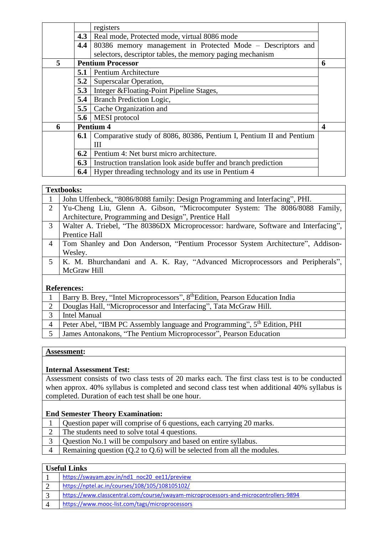|   |     | registers                                                           |                         |
|---|-----|---------------------------------------------------------------------|-------------------------|
|   | 4.3 | Real mode, Protected mode, virtual 8086 mode                        |                         |
|   | 4.4 | 80386 memory management in Protected Mode – Descriptors and         |                         |
|   |     | selectors, descriptor tables, the memory paging mechanism           |                         |
| 5 |     | <b>Pentium Processor</b>                                            | 6                       |
|   | 5.1 | Pentium Architecture                                                |                         |
|   | 5.2 | Superscalar Operation,                                              |                         |
|   | 5.3 | Integer & Floating-Point Pipeline Stages,                           |                         |
|   | 5.4 | <b>Branch Prediction Logic,</b>                                     |                         |
|   |     | <b>5.5</b> Cache Organization and                                   |                         |
|   |     | <b>5.6</b>   MESI protocol                                          |                         |
| 6 |     | <b>Pentium 4</b>                                                    | $\overline{\mathbf{4}}$ |
|   | 6.1 | Comparative study of 8086, 80386, Pentium I, Pentium II and Pentium |                         |
|   |     | Ш                                                                   |                         |
|   | 6.2 | Pentium 4: Net burst micro architecture.                            |                         |
|   | 6.3 | Instruction translation look aside buffer and branch prediction     |                         |
|   | 6.4 | Hyper threading technology and its use in Pentium 4                 |                         |

#### **Textbooks:**

|              | телидилът.                                                                           |
|--------------|--------------------------------------------------------------------------------------|
| $\mathbf{1}$ | John Uffenbeck, "8086/8088 family: Design Programming and Interfacing", PHI.         |
| 2            | Yu-Cheng Liu, Glenn A. Gibson, "Microcomputer System: The 8086/8088 Family,          |
|              | Architecture, Programming and Design", Prentice Hall                                 |
| 3            | Walter A. Triebel, "The 80386DX Microprocessor: hardware, Software and Interfacing", |
|              | Prentice Hall                                                                        |
| 4            | Tom Shanley and Don Anderson, "Pentium Processor System Architecture", Addison-      |
|              | Wesley.                                                                              |
| 5            | K. M. Bhurchandani and A. K. Ray, "Advanced Microprocessors and Peripherals",        |
|              | McGraw Hill                                                                          |
|              |                                                                                      |
|              | References.                                                                          |

#### **References:**

| Barry B. Brey, "Intel Microprocessors", 8 <sup>th</sup> Edition, Pearson Education India |
|------------------------------------------------------------------------------------------|
| Douglas Hall, "Microprocessor and Interfacing", Tata McGraw Hill.                        |
| Intel Manual                                                                             |
| Peter Abel, "IBM PC Assembly language and Programming", 5 <sup>th</sup> Edition, PHI     |
| James Antonakons, "The Pentium Microprocessor", Pearson Education                        |

#### **Assessment:**

#### **Internal Assessment Test:**

Assessment consists of two class tests of 20 marks each. The first class test is to be conducted when approx. 40% syllabus is completed and second class test when additional 40% syllabus is completed. Duration of each test shall be one hour.

#### **End Semester Theory Examination:**

- 1 Question paper will comprise of 6 questions, each carrying 20 marks.
- 2 The students need to solve total 4 questions.
- 3 Question No.1 will be compulsory and based on entire syllabus.
- 4 Remaining question (Q.2 to Q.6) will be selected from all the modules.

#### **Useful Links**

| https://swayam.gov.in/nd1 noc20 ee11/preview                                         |
|--------------------------------------------------------------------------------------|
| https://nptel.ac.in/courses/108/105/108105102/                                       |
| https://www.classcentral.com/course/swayam-microprocessors-and-microcontrollers-9894 |
| https://www.mooc-list.com/tags/microprocessors                                       |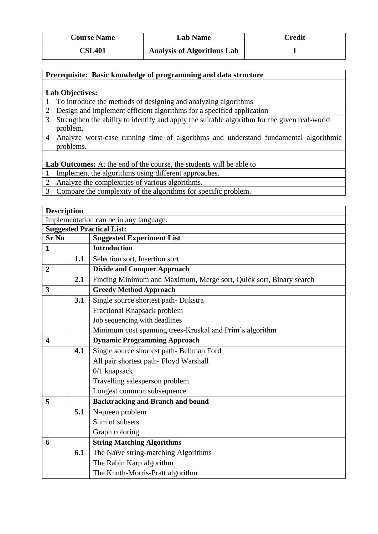| <b>Course Name</b>         | <b>Lab Name</b>                   | Credit |
|----------------------------|-----------------------------------|--------|
| $\mathbb{C}\mathbf{SL401}$ | <b>Analysis of Algorithms Lab</b> |        |

#### **Prerequisite: Basic knowledge of programming and data structure**

#### **Lab Objectives:**

1 To introduce the methods of designing and analyzing algorithms

2 Design and implement efficient algorithms for a specified application

- 3 Strengthen the ability to identify and apply the suitable algorithm for the given real-world problem.
- 4 Analyze worst-case running time of algorithms and understand fundamental algorithmic problems.

**Lab Outcomes:** At the end of the course, the students will be able to

- 1 Implement the algorithms using different approaches.
- 2 Analyze the complexities of various algorithms.
- 3 Compare the complexity of the algorithms for specific problem.

| <b>Description</b>                     |     |                                                                    |
|----------------------------------------|-----|--------------------------------------------------------------------|
| Implementation can be in any language. |     |                                                                    |
|                                        |     | <b>Suggested Practical List:</b>                                   |
| <b>Sr No</b>                           |     | <b>Suggested Experiment List</b>                                   |
| $\mathbf{1}$                           |     | <b>Introduction</b>                                                |
|                                        | 1.1 | Selection sort, Insertion sort                                     |
| $\overline{2}$                         |     | <b>Divide and Conquer Approach</b>                                 |
|                                        | 2.1 | Finding Minimum and Maximum, Merge sort, Quick sort, Binary search |
| 3                                      |     | <b>Greedy Method Approach</b>                                      |
|                                        | 3.1 | Single source shortest path-Dijkstra                               |
|                                        |     | Fractional Knapsack problem                                        |
|                                        |     | Job sequencing with deadlines                                      |
|                                        |     | Minimum cost spanning trees-Kruskal and Prim's algorithm           |
| $\overline{\mathbf{4}}$                |     | <b>Dynamic Programming Approach</b>                                |
|                                        | 4.1 | Single source shortest path-Bellman Ford                           |
|                                        |     | All pair shortest path-Floyd Warshall                              |
|                                        |     | $0/1$ knapsack                                                     |
|                                        |     | Travelling salesperson problem                                     |
|                                        |     | Longest common subsequence                                         |
| 5                                      |     | <b>Backtracking and Branch and bound</b>                           |
|                                        | 5.1 | N-queen problem                                                    |
|                                        |     | Sum of subsets                                                     |
|                                        |     | Graph coloring                                                     |
| 6                                      |     | <b>String Matching Algorithms</b>                                  |
|                                        | 6.1 | The Naïve string-matching Algorithms                               |
|                                        |     | The Rabin Karp algorithm                                           |
|                                        |     | The Knuth-Morris-Pratt algorithm                                   |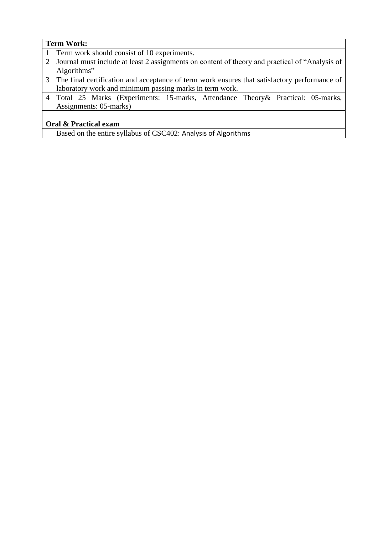| <b>Term Work:</b>                |                                                                                                |  |  |
|----------------------------------|------------------------------------------------------------------------------------------------|--|--|
|                                  | 1 Term work should consist of 10 experiments.                                                  |  |  |
| 2 <sup>1</sup>                   | Journal must include at least 2 assignments on content of theory and practical of "Analysis of |  |  |
|                                  | Algorithms"                                                                                    |  |  |
|                                  | 3 The final certification and acceptance of term work ensures that satisfactory performance of |  |  |
|                                  | laboratory work and minimum passing marks in term work.                                        |  |  |
|                                  | 4 Total 25 Marks (Experiments: 15-marks, Attendance Theory & Practical: 05-marks,              |  |  |
|                                  | Assignments: 05-marks)                                                                         |  |  |
|                                  |                                                                                                |  |  |
| <b>Oral &amp; Practical exam</b> |                                                                                                |  |  |

Based on the entire syllabus of CSC402: Analysis of Algorithms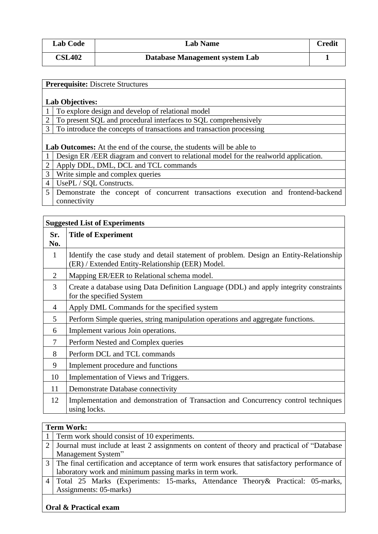| <b>Lab Code</b> | <b>Lab Name</b>                | Credit |
|-----------------|--------------------------------|--------|
| <b>CSL402</b>   | Database Management system Lab |        |

|                | <b>Prerequisite: Discrete Structures</b>                                               |  |  |  |
|----------------|----------------------------------------------------------------------------------------|--|--|--|
|                |                                                                                        |  |  |  |
|                |                                                                                        |  |  |  |
|                | <b>Lab Objectives:</b>                                                                 |  |  |  |
|                | To explore design and develop of relational model                                      |  |  |  |
| $\overline{2}$ | To present SQL and procedural interfaces to SQL comprehensively                        |  |  |  |
| 3              | To introduce the concepts of transactions and transaction processing                   |  |  |  |
|                |                                                                                        |  |  |  |
|                | <b>Lab Outcomes:</b> At the end of the course, the students will be able to            |  |  |  |
|                |                                                                                        |  |  |  |
|                | Design ER / EER diagram and convert to relational model for the realworld application. |  |  |  |
| $\overline{2}$ | Apply DDL, DML, DCL and TCL commands                                                   |  |  |  |
| 3              | Write simple and complex queries                                                       |  |  |  |
| $\overline{4}$ | UsePL / SQL Constructs.                                                                |  |  |  |
| 5              | Demonstrate the concept of concurrent transactions execution and frontend-backend      |  |  |  |
|                | connectivity                                                                           |  |  |  |

| <b>Suggested List of Experiments</b> |                                                                                                                                            |  |
|--------------------------------------|--------------------------------------------------------------------------------------------------------------------------------------------|--|
| Sr.<br>No.                           | <b>Title of Experiment</b>                                                                                                                 |  |
| 1                                    | Identify the case study and detail statement of problem. Design an Entity-Relationship<br>(ER) / Extended Entity-Relationship (EER) Model. |  |
| $\overline{2}$                       | Mapping ER/EER to Relational schema model.                                                                                                 |  |
| $\overline{3}$                       | Create a database using Data Definition Language (DDL) and apply integrity constraints<br>for the specified System                         |  |
| 4                                    | Apply DML Commands for the specified system                                                                                                |  |
| 5                                    | Perform Simple queries, string manipulation operations and aggregate functions.                                                            |  |
| 6                                    | Implement various Join operations.                                                                                                         |  |
| 7                                    | Perform Nested and Complex queries                                                                                                         |  |
| 8                                    | Perform DCL and TCL commands                                                                                                               |  |
| 9                                    | Implement procedure and functions                                                                                                          |  |
| 10                                   | Implementation of Views and Triggers.                                                                                                      |  |
| 11                                   | Demonstrate Database connectivity                                                                                                          |  |
| 12                                   | Implementation and demonstration of Transaction and Concurrency control techniques<br>using locks.                                         |  |

|   | <b>Term Work:</b>                                                                              |  |  |  |
|---|------------------------------------------------------------------------------------------------|--|--|--|
|   | 1 Term work should consist of 10 experiments.                                                  |  |  |  |
| 2 | Journal must include at least 2 assignments on content of theory and practical of "Database"   |  |  |  |
|   | Management System"                                                                             |  |  |  |
|   | 3 The final certification and acceptance of term work ensures that satisfactory performance of |  |  |  |
|   | laboratory work and minimum passing marks in term work.                                        |  |  |  |
|   | 4 Total 25 Marks (Experiments: 15-marks, Attendance Theory & Practical: 05-marks,              |  |  |  |
|   | Assignments: 05-marks)                                                                         |  |  |  |
|   |                                                                                                |  |  |  |

## **Oral & Practical exam**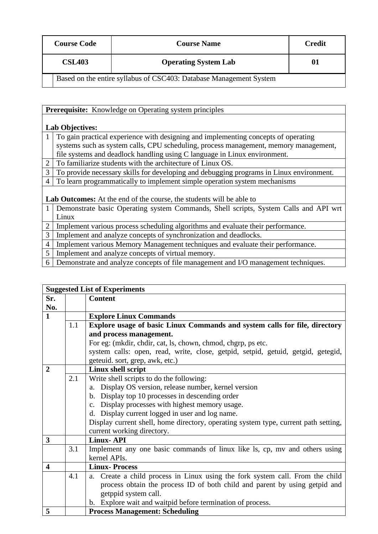| <b>Course Code</b> | <b>Course Name</b>          | <b>Credit</b> |
|--------------------|-----------------------------|---------------|
| <b>CSL403</b>      | <b>Operating System Lab</b> | 01            |

Based on the entire syllabus of CSC403: Database Management System

|                | <b>Prerequisite:</b> Knowledge on Operating system principles                           |  |  |
|----------------|-----------------------------------------------------------------------------------------|--|--|
|                |                                                                                         |  |  |
|                | <b>Lab Objectives:</b>                                                                  |  |  |
|                | To gain practical experience with designing and implementing concepts of operating      |  |  |
|                | systems such as system calls, CPU scheduling, process management, memory management,    |  |  |
|                | file systems and deadlock handling using C language in Linux environment.               |  |  |
| $\overline{2}$ | To familiarize students with the architecture of Linux OS.                              |  |  |
| 3              | To provide necessary skills for developing and debugging programs in Linux environment. |  |  |
| 4              | To learn programmatically to implement simple operation system mechanisms               |  |  |
|                |                                                                                         |  |  |
|                | <b>Lab Outcomes:</b> At the end of the course, the students will be able to             |  |  |
| -1             | Demonstrate basic Operating system Commands, Shell scripts, System Calls and API wrt    |  |  |
|                | Linux                                                                                   |  |  |
| $\overline{2}$ | Implement various process scheduling algorithms and evaluate their performance.         |  |  |
| 3              | Implement and analyze concepts of synchronization and deadlocks.                        |  |  |
| $\overline{4}$ | Implement various Memory Management techniques and evaluate their performance.          |  |  |
| 5              | Implement and analyze concepts of virtual memory.                                       |  |  |
| 6              | Demonstrate and analyze concepts of file management and I/O management techniques.      |  |  |

| <b>Suggested List of Experiments</b> |     |                                                                                     |
|--------------------------------------|-----|-------------------------------------------------------------------------------------|
| Sr.                                  |     | <b>Content</b>                                                                      |
| No.                                  |     |                                                                                     |
| $\mathbf{1}$                         |     | <b>Explore Linux Commands</b>                                                       |
|                                      | 1.1 | Explore usage of basic Linux Commands and system calls for file, directory          |
|                                      |     | and process management.                                                             |
|                                      |     | For eg: (mkdir, chdir, cat, ls, chown, chmod, chgrp, ps etc.                        |
|                                      |     | system calls: open, read, write, close, getpid, setpid, getuid, getgid, getegid,    |
|                                      |     | geteuid. sort, grep, awk, etc.)                                                     |
| $\overline{2}$                       |     | Linux shell script                                                                  |
|                                      | 2.1 | Write shell scripts to do the following:                                            |
|                                      |     | Display OS version, release number, kernel version<br>a.                            |
|                                      |     | b. Display top 10 processes in descending order                                     |
|                                      |     | c. Display processes with highest memory usage.                                     |
|                                      |     | d. Display current logged in user and log name.                                     |
|                                      |     | Display current shell, home directory, operating system type, current path setting, |
|                                      |     | current working directory.                                                          |
| 3                                    |     | <b>Linux-API</b>                                                                    |
|                                      | 3.1 | Implement any one basic commands of linux like ls, cp, my and others using          |
|                                      |     | kernel APIs.                                                                        |
| $\overline{\mathbf{4}}$              |     | <b>Linux-Process</b>                                                                |
|                                      | 4.1 | Create a child process in Linux using the fork system call. From the child<br>a.    |
|                                      |     | process obtain the process ID of both child and parent by using getpid and          |
|                                      |     | getppid system call.                                                                |
|                                      |     | b. Explore wait and waitpid before termination of process.                          |
| 5                                    |     | <b>Process Management: Scheduling</b>                                               |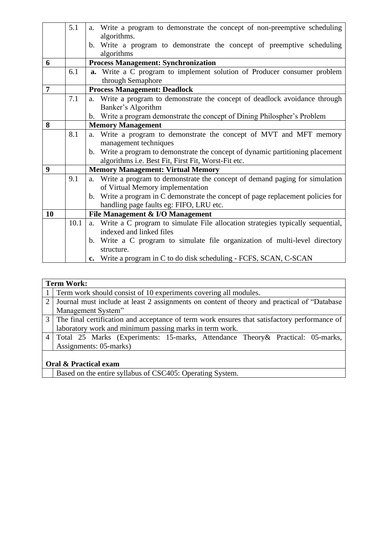|                | 5.1  | Write a program to demonstrate the concept of non-preemptive scheduling<br>a.                  |
|----------------|------|------------------------------------------------------------------------------------------------|
|                |      | algorithms.                                                                                    |
|                |      | b. Write a program to demonstrate the concept of preemptive scheduling                         |
|                |      | algorithms                                                                                     |
| 6              |      | <b>Process Management: Synchronization</b>                                                     |
|                | 6.1  | a. Write a C program to implement solution of Producer consumer problem                        |
|                |      | through Semaphore                                                                              |
| $\overline{7}$ |      | <b>Process Management: Deadlock</b>                                                            |
|                | 7.1  | Write a program to demonstrate the concept of deadlock avoidance through<br>a.                 |
|                |      | Banker's Algorithm                                                                             |
|                |      | b. Write a program demonstrate the concept of Dining Philospher's Problem                      |
| 8              |      | <b>Memory Management</b>                                                                       |
|                | 8.1  | Write a program to demonstrate the concept of MVT and MFT memory<br>a.                         |
|                |      | management techniques                                                                          |
|                |      | Write a program to demonstrate the concept of dynamic partitioning placement<br>$\mathbf{b}$ . |
|                |      | algorithms i.e. Best Fit, First Fit, Worst-Fit etc.                                            |
| 9              |      | <b>Memory Management: Virtual Memory</b>                                                       |
|                | 9.1  | Write a program to demonstrate the concept of demand paging for simulation<br>a.               |
|                |      | of Virtual Memory implementation                                                               |
|                |      | b. Write a program in C demonstrate the concept of page replacement policies for               |
|                |      | handling page faults eg: FIFO, LRU etc.                                                        |
| 10             |      | File Management & I/O Management                                                               |
|                | 10.1 | Write a C program to simulate File allocation strategies typically sequential,<br>a.           |
|                |      | indexed and linked files                                                                       |
|                |      | b. Write a C program to simulate file organization of multi-level directory                    |
|                |      | structure.                                                                                     |
|                |      | c. Write a program in C to do disk scheduling - FCFS, SCAN, C-SCAN                             |

| <b>Term Work:</b>                                                                              |  |  |  |
|------------------------------------------------------------------------------------------------|--|--|--|
| 1 Term work should consist of 10 experiments covering all modules.                             |  |  |  |
| Journal must include at least 2 assignments on content of theory and practical of "Database"   |  |  |  |
| Management System"                                                                             |  |  |  |
| 3 The final certification and acceptance of term work ensures that satisfactory performance of |  |  |  |
| laboratory work and minimum passing marks in term work.                                        |  |  |  |
| 4 Total 25 Marks (Experiments: 15-marks, Attendance Theory & Practical: 05-marks,              |  |  |  |
| Assignments: 05-marks)                                                                         |  |  |  |
|                                                                                                |  |  |  |
| <b>Oral &amp; Practical exam</b>                                                               |  |  |  |

Based on the entire syllabus of CSC405: Operating System.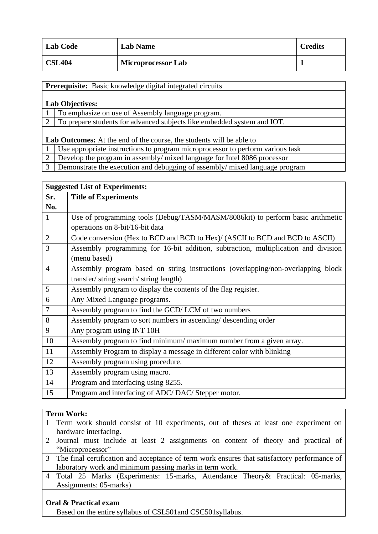| <b>Lab Code</b> | <b>Lab Name</b>           | <b>Credits</b> |
|-----------------|---------------------------|----------------|
| <b>CSL404</b>   | <b>Microprocessor Lab</b> |                |

**Prerequisite:** Basic knowledge digital integrated circuits **Lab Objectives:**  1 To emphasize on use of Assembly language program. 2 To prepare students for advanced subjects like embedded system and IOT. **Lab Outcomes:** At the end of the course, the students will be able to 1 Use appropriate instructions to program microprocessor to perform various task 2 Develop the program in assembly/ mixed language for Intel 8086 processor

3 Demonstrate the execution and debugging of assembly/ mixed language program

| <b>Suggested List of Experiments:</b> |                                                                                    |  |
|---------------------------------------|------------------------------------------------------------------------------------|--|
| Sr.                                   | <b>Title of Experiments</b>                                                        |  |
| No.                                   |                                                                                    |  |
| 1                                     | Use of programming tools (Debug/TASM/MASM/8086kit) to perform basic arithmetic     |  |
|                                       | operations on 8-bit/16-bit data                                                    |  |
| $\overline{2}$                        | Code conversion (Hex to BCD and BCD to Hex)/ (ASCII to BCD and BCD to ASCII)       |  |
| 3                                     | Assembly programming for 16-bit addition, subtraction, multiplication and division |  |
|                                       | (menu based)                                                                       |  |
| $\overline{4}$                        | Assembly program based on string instructions (overlapping/non-overlapping block   |  |
|                                       | transfer/string search/string length)                                              |  |
| 5                                     | Assembly program to display the contents of the flag register.                     |  |
| 6                                     | Any Mixed Language programs.                                                       |  |
| 7                                     | Assembly program to find the GCD/LCM of two numbers                                |  |
| 8                                     | Assembly program to sort numbers in ascending/descending order                     |  |
| 9                                     | Any program using INT 10H                                                          |  |
| 10                                    | Assembly program to find minimum/maximum number from a given array.                |  |
| 11                                    | Assembly Program to display a message in different color with blinking             |  |
| 12                                    | Assembly program using procedure.                                                  |  |
| 13                                    | Assembly program using macro.                                                      |  |
| 14                                    | Program and interfacing using 8255.                                                |  |
| 15                                    | Program and interfacing of ADC/DAC/Stepper motor.                                  |  |

### **Term Work:**

| 1 Term work should consist of 10 experiments, out of theses at least one experiment on         |
|------------------------------------------------------------------------------------------------|
| hardware interfacing.                                                                          |
| 2 Journal must include at least 2 assignments on content of theory and practical of            |
| "Microprocessor"                                                                               |
| 3 The final certification and acceptance of term work ensures that satisfactory performance of |
| laboratory work and minimum passing marks in term work.                                        |
| 4 Total 25 Marks (Experiments: 15-marks, Attendance Theory & Practical: 05-marks,              |
| Assignments: 05-marks)                                                                         |

#### **Oral & Practical exam**

Based on the entire syllabus of CSL501and CSC501syllabus.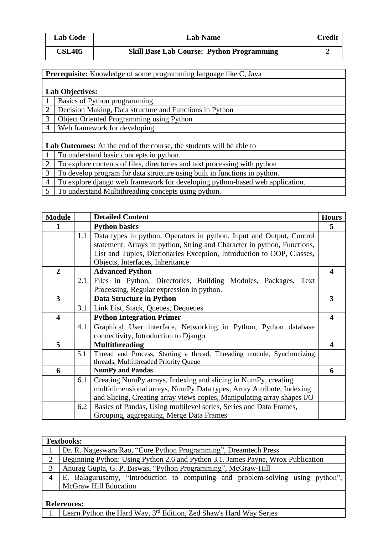| <b>Lab Code</b> | <b>Lab Name</b>                                  | <b>Credit</b> |
|-----------------|--------------------------------------------------|---------------|
| <b>CSL405</b>   | <b>Skill Base Lab Course: Python Programming</b> |               |

| <b>Prerequisite:</b> Knowledge of some programming language like C, Java |                                                         |  |
|--------------------------------------------------------------------------|---------------------------------------------------------|--|
|                                                                          |                                                         |  |
| <b>Lab Objectives:</b>                                                   |                                                         |  |
|                                                                          | <b>Basics of Python programming</b>                     |  |
| 2                                                                        | Decision Making, Data structure and Functions in Python |  |
| 3                                                                        | <b>Object Oriented Programming using Python</b>         |  |
| $\overline{4}$                                                           | Web framework for developing                            |  |
|                                                                          |                                                         |  |

**Lab Outcomes:** At the end of the course, the students will be able to

- 1 To understand basic concepts in python.
- 2 To explore contents of files, directories and text processing with python<br>3 To develop program for data structure using built in functions in python.
- To develop program for data structure using built in functions in python.
- 4 To explore django web framework for developing python-based web application.
- 5 To understand Multithreading concepts using python.

| <b>Module</b>           |     | <b>Detailed Content</b>                                                 | <b>Hours</b>            |
|-------------------------|-----|-------------------------------------------------------------------------|-------------------------|
|                         |     | <b>Python basics</b>                                                    | 5                       |
|                         | 1.1 | Data types in python, Operators in python, Input and Output, Control    |                         |
|                         |     | statement, Arrays in python, String and Character in python, Functions, |                         |
|                         |     | List and Tuples, Dictionaries Exception, Introduction to OOP, Classes,  |                         |
|                         |     | Objects, Interfaces, Inheritance                                        |                         |
| $\overline{2}$          |     | <b>Advanced Python</b>                                                  | 4                       |
|                         | 2.1 | Files in Python, Directories, Building Modules, Packages,<br>Text       |                         |
|                         |     | Processing, Regular expression in python.                               |                         |
| $\overline{3}$          |     | <b>Data Structure in Python</b>                                         | 3                       |
|                         | 3.1 | Link List, Stack, Queues, Dequeues                                      |                         |
| $\overline{\mathbf{4}}$ |     | <b>Python Integration Primer</b>                                        | $\overline{\mathbf{4}}$ |
|                         | 4.1 | Graphical User interface, Networking in Python, Python database         |                         |
|                         |     | connectivity, Introduction to Django                                    |                         |
| 5                       |     | <b>Multithreading</b>                                                   | $\overline{\mathbf{4}}$ |
|                         | 5.1 | Thread and Process, Starting a thread, Threading module, Synchronizing  |                         |
|                         |     | threads, Multithreaded Priority Queue                                   |                         |
| 6                       |     | <b>NumPy and Pandas</b>                                                 | 6                       |
|                         | 6.1 | Creating NumPy arrays, Indexing and slicing in NumPy, creating          |                         |
|                         |     | multidimensional arrays, NumPy Data types, Array Attribute, Indexing    |                         |
|                         |     | and Slicing, Creating array views copies, Manipulating array shapes I/O |                         |
|                         | 6.2 | Basics of Pandas, Using multilevel series, Series and Data Frames,      |                         |
|                         |     | Grouping, aggregating, Merge Data Frames                                |                         |

|                    | <b>Textbooks:</b>                                                                |  |  |  |  |
|--------------------|----------------------------------------------------------------------------------|--|--|--|--|
|                    | Dr. R. Nageswara Rao, "Core Python Programming", Dreamtech Press                 |  |  |  |  |
| $\overline{2}$     | Beginning Python: Using Python 2.6 and Python 3.1. James Payne, Wrox Publication |  |  |  |  |
| 3                  | Anurag Gupta, G. P. Biswas, "Python Programming", McGraw-Hill                    |  |  |  |  |
| 4                  | E. Balagurusamy, "Introduction to computing and problem-solving using python",   |  |  |  |  |
|                    | <b>McGraw Hill Education</b>                                                     |  |  |  |  |
|                    |                                                                                  |  |  |  |  |
| <b>References:</b> |                                                                                  |  |  |  |  |
|                    | Learn Python the Hard Way, 3 <sup>rd</sup> Edition, Zed Shaw's Hard Way Series   |  |  |  |  |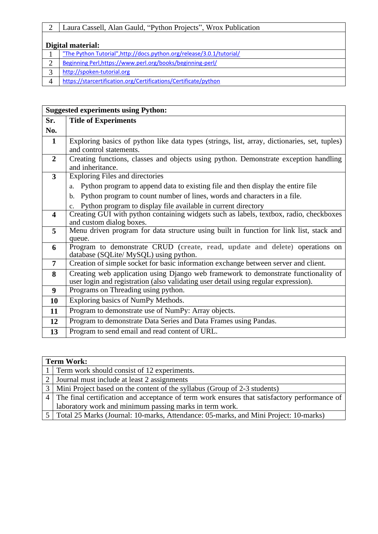|   | Laura Cassell, Alan Gauld, "Python Projects", Wrox Publication        |  |  |
|---|-----------------------------------------------------------------------|--|--|
|   |                                                                       |  |  |
|   | Digital material:                                                     |  |  |
|   | "The Python Tutorial", http://docs.python.org/release/3.0.1/tutorial/ |  |  |
|   | Beginning Perl, https://www.perl.org/books/beginning-perl/            |  |  |
| ⌒ | http://spoken-tutorial.org                                            |  |  |
|   | https://starcertification.org/Certifications/Certificate/python       |  |  |

|                         | <b>Suggested experiments using Python:</b>                                                                              |  |  |
|-------------------------|-------------------------------------------------------------------------------------------------------------------------|--|--|
| Sr.                     | <b>Title of Experiments</b>                                                                                             |  |  |
| No.                     |                                                                                                                         |  |  |
| $\mathbf{1}$            | Exploring basics of python like data types (strings, list, array, dictionaries, set, tuples)<br>and control statements. |  |  |
| $\overline{2}$          | Creating functions, classes and objects using python. Demonstrate exception handling                                    |  |  |
|                         | and inheritance.                                                                                                        |  |  |
| 3                       | <b>Exploring Files and directories</b>                                                                                  |  |  |
|                         | a. Python program to append data to existing file and then display the entire file                                      |  |  |
|                         | b. Python program to count number of lines, words and characters in a file.                                             |  |  |
|                         | c. Python program to display file available in current directory                                                        |  |  |
| $\overline{\mathbf{4}}$ | Creating GUI with python containing widgets such as labels, textbox, radio, checkboxes                                  |  |  |
|                         | and custom dialog boxes.                                                                                                |  |  |
| 5                       | Menu driven program for data structure using built in function for link list, stack and                                 |  |  |
| 6                       | queue.<br>Program to demonstrate CRUD (create, read, update and delete) operations on                                   |  |  |
|                         | database (SQLite/ MySQL) using python.                                                                                  |  |  |
| $\overline{7}$          | Creation of simple socket for basic information exchange between server and client.                                     |  |  |
| 8                       | Creating web application using Django web framework to demonstrate functionality of                                     |  |  |
|                         | user login and registration (also validating user detail using regular expression).                                     |  |  |
| $\boldsymbol{9}$        | Programs on Threading using python.                                                                                     |  |  |
| 10                      | Exploring basics of NumPy Methods.                                                                                      |  |  |
| 11                      | Program to demonstrate use of NumPy: Array objects.                                                                     |  |  |
| 12                      | Program to demonstrate Data Series and Data Frames using Pandas.                                                        |  |  |
| 13                      | Program to send email and read content of URL.                                                                          |  |  |

|                | <b>Term Work:</b>                                                                              |  |  |
|----------------|------------------------------------------------------------------------------------------------|--|--|
|                | 1 Term work should consist of 12 experiments.                                                  |  |  |
| 2 <sup>1</sup> | Journal must include at least 2 assignments                                                    |  |  |
|                | 3   Mini Project based on the content of the syllabus (Group of 2-3 students)                  |  |  |
|                | 4 The final certification and acceptance of term work ensures that satisfactory performance of |  |  |
|                | laboratory work and minimum passing marks in term work.                                        |  |  |
|                | 5   Total 25 Marks (Journal: 10-marks, Attendance: 05-marks, and Mini Project: 10-marks)       |  |  |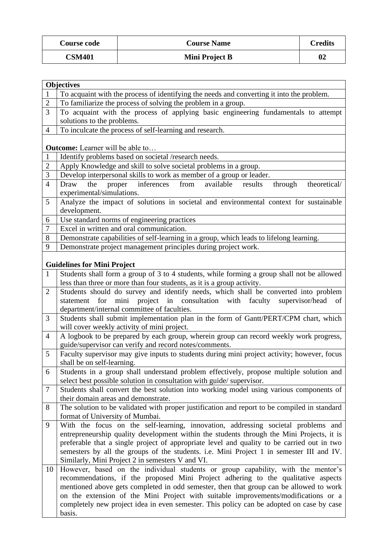| <b>Course code</b> | <b>Course Name</b> | <b>Credits</b> |
|--------------------|--------------------|----------------|
| <b>CSM401</b>      | Mini Project B     | 02             |

|                | <b>Objectives</b>                                                                                                            |  |  |
|----------------|------------------------------------------------------------------------------------------------------------------------------|--|--|
| $\mathbf{1}$   | To acquaint with the process of identifying the needs and converting it into the problem.                                    |  |  |
| $\overline{c}$ | To familiarize the process of solving the problem in a group.                                                                |  |  |
| 3              | To acquaint with the process of applying basic engineering fundamentals to attempt                                           |  |  |
|                | solutions to the problems.                                                                                                   |  |  |
| $\overline{4}$ | To inculcate the process of self-learning and research.                                                                      |  |  |
|                |                                                                                                                              |  |  |
|                | <b>Outcome:</b> Learner will be able to                                                                                      |  |  |
| $\mathbf{1}$   | Identify problems based on societal /research needs.                                                                         |  |  |
| $\overline{2}$ | Apply Knowledge and skill to solve societal problems in a group.                                                             |  |  |
| 3              | Develop interpersonal skills to work as member of a group or leader.                                                         |  |  |
| $\overline{4}$ | proper inferences<br>from<br>available<br>Draw<br>the<br>results<br>through<br>theoretical/                                  |  |  |
|                | experimental/simulations.                                                                                                    |  |  |
| 5              | Analyze the impact of solutions in societal and environmental context for sustainable                                        |  |  |
|                | development.                                                                                                                 |  |  |
| 6              | Use standard norms of engineering practices                                                                                  |  |  |
| $\tau$         | Excel in written and oral communication.                                                                                     |  |  |
| 8              | Demonstrate capabilities of self-learning in a group, which leads to lifelong learning.                                      |  |  |
| 9              | Demonstrate project management principles during project work.                                                               |  |  |
|                |                                                                                                                              |  |  |
|                | <b>Guidelines for Mini Project</b>                                                                                           |  |  |
| $\mathbf{1}$   | Students shall form a group of 3 to 4 students, while forming a group shall not be allowed                                   |  |  |
|                | less than three or more than four students, as it is a group activity.                                                       |  |  |
| $\overline{2}$ | Students should do survey and identify needs, which shall be converted into problem                                          |  |  |
|                | statement for mini project in consultation with faculty supervisor/head<br>of<br>department/internal committee of faculties. |  |  |
| 3              | Students shall submit implementation plan in the form of Gantt/PERT/CPM chart, which                                         |  |  |
|                | will cover weekly activity of mini project.                                                                                  |  |  |
| $\overline{4}$ | A logbook to be prepared by each group, wherein group can record weekly work progress,                                       |  |  |
|                | guide/supervisor can verify and record notes/comments.                                                                       |  |  |
| 5              | Faculty supervisor may give inputs to students during mini project activity; however, focus                                  |  |  |
|                | shall be on self-learning.                                                                                                   |  |  |
| 6              | Students in a group shall understand problem effectively, propose multiple solution and                                      |  |  |
|                | select best possible solution in consultation with guide/supervisor.                                                         |  |  |
| 7              | Students shall convert the best solution into working model using various components of                                      |  |  |
|                | their domain areas and demonstrate.                                                                                          |  |  |
| 8              | The solution to be validated with proper justification and report to be compiled in standard                                 |  |  |
|                | format of University of Mumbai.                                                                                              |  |  |
| 9              | With the focus on the self-learning, innovation, addressing societal problems and                                            |  |  |
|                | entrepreneurship quality development within the students through the Mini Projects, it is                                    |  |  |
|                | preferable that a single project of appropriate level and quality to be carried out in two                                   |  |  |
|                | semesters by all the groups of the students. i.e. Mini Project 1 in semester III and IV.                                     |  |  |
|                | Similarly, Mini Project 2 in semesters V and VI.                                                                             |  |  |
| 10             | However, based on the individual students or group capability, with the mentor's                                             |  |  |
|                | recommendations, if the proposed Mini Project adhering to the qualitative aspects                                            |  |  |
|                | mentioned above gets completed in odd semester, then that group can be allowed to work                                       |  |  |
|                | on the extension of the Mini Project with suitable improvements/modifications or a                                           |  |  |
|                | completely new project idea in even semester. This policy can be adopted on case by case                                     |  |  |
|                | basis.                                                                                                                       |  |  |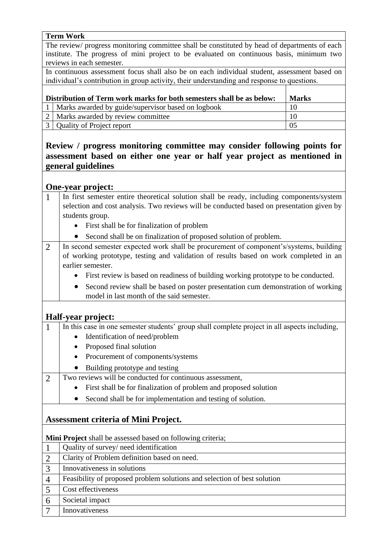#### **Term Work**

The review/ progress monitoring committee shall be constituted by head of departments of each institute. The progress of mini project to be evaluated on continuous basis, minimum two reviews in each semester.

In continuous assessment focus shall also be on each individual student, assessment based on individual's contribution in group activity, their understanding and response to questions.

| Distribution of Term work marks for both semesters shall be as below: |                                                    | <b>Marks</b> |
|-----------------------------------------------------------------------|----------------------------------------------------|--------------|
|                                                                       | Marks awarded by guide/supervisor based on logbook | 10           |
|                                                                       | 2   Marks awarded by review committee              | 10           |
|                                                                       | 3   Quality of Project report                      | 05           |

## **Review / progress monitoring committee may consider following points for assessment based on either one year or half year project as mentioned in general guidelines**

## **One-year project:**

- 1 In first semester entire theoretical solution shall be ready, including components/system selection and cost analysis. Two reviews will be conducted based on presentation given by students group.
	- First shall be for finalization of problem
	- Second shall be on finalization of proposed solution of problem.
- 2 In second semester expected work shall be procurement of component's/systems, building of working prototype, testing and validation of results based on work completed in an earlier semester.
	- First review is based on readiness of building working prototype to be conducted.
	- Second review shall be based on poster presentation cum demonstration of working model in last month of the said semester.

## **Half-year project:**

- 1 In this case in one semester students' group shall complete project in all aspects including,
	- Identification of need/problem
	- Proposed final solution
	- Procurement of components/systems
	- Building prototype and testing
- 2 Two reviews will be conducted for continuous assessment,
	- First shall be for finalization of problem and proposed solution
	- Second shall be for implementation and testing of solution.

## **Assessment criteria of Mini Project.**

**Mini Project** shall be assessed based on following criteria;

|                | Quality of survey/ need identification                                   |
|----------------|--------------------------------------------------------------------------|
|                | Clarity of Problem definition based on need.                             |
| $\mathcal{R}$  | Innovativeness in solutions                                              |
| $\overline{4}$ | Feasibility of proposed problem solutions and selection of best solution |
|                | Cost effectiveness                                                       |
| 6              | Societal impact                                                          |
|                | Innovativeness                                                           |